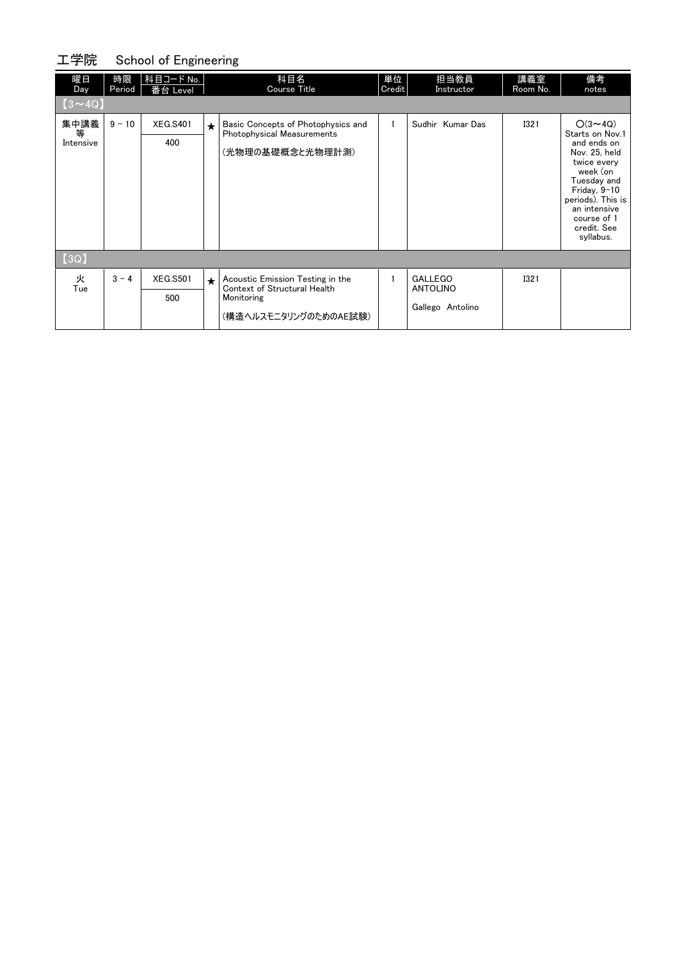#### 工学院 School of Engineering

| 曜日<br>Day              | 時限<br>Period | 科目コード No.<br>番台 Level  |            | 科目名<br>Course Title                                                                                     | 単位<br>Credit | 担当教員<br>Instructor                             | 講義室<br>Room No. | 備考<br>notes                                                                                                                                                                                                   |
|------------------------|--------------|------------------------|------------|---------------------------------------------------------------------------------------------------------|--------------|------------------------------------------------|-----------------|---------------------------------------------------------------------------------------------------------------------------------------------------------------------------------------------------------------|
| $(3\sqrt{4Q})$         |              |                        |            |                                                                                                         |              |                                                |                 |                                                                                                                                                                                                               |
| 集中講義<br>等<br>Intensive | $9 - 10$     | <b>XEG.S401</b><br>400 | $\star$    | Basic Concepts of Photophysics and<br><b>Photophysical Measurements</b><br>(光物理の基礎概念と光物理計測)             |              | Sudhir Kumar Das                               | <b>I321</b>     | $O(3 \sim 4Q)$<br>Starts on Nov.1<br>and ends on<br>Nov. 25, held<br>twice every<br>week (on<br>Tuesday and<br>Friday, $9-10$<br>periods). This is<br>an intensive<br>course of 1<br>credit. See<br>syllabus. |
| [3Q]                   |              |                        |            |                                                                                                         |              |                                                |                 |                                                                                                                                                                                                               |
| 火<br>Tue               | $3 - 4$      | <b>XEG.S501</b><br>500 | $\bigstar$ | Acoustic Emission Testing in the<br>Context of Structural Health<br>Monitoring<br>(構造ヘルスモニタリングのためのAE試験) | 1            | GALLEGO<br><b>ANTOLINO</b><br>Gallego Antolino | <b>I321</b>     |                                                                                                                                                                                                               |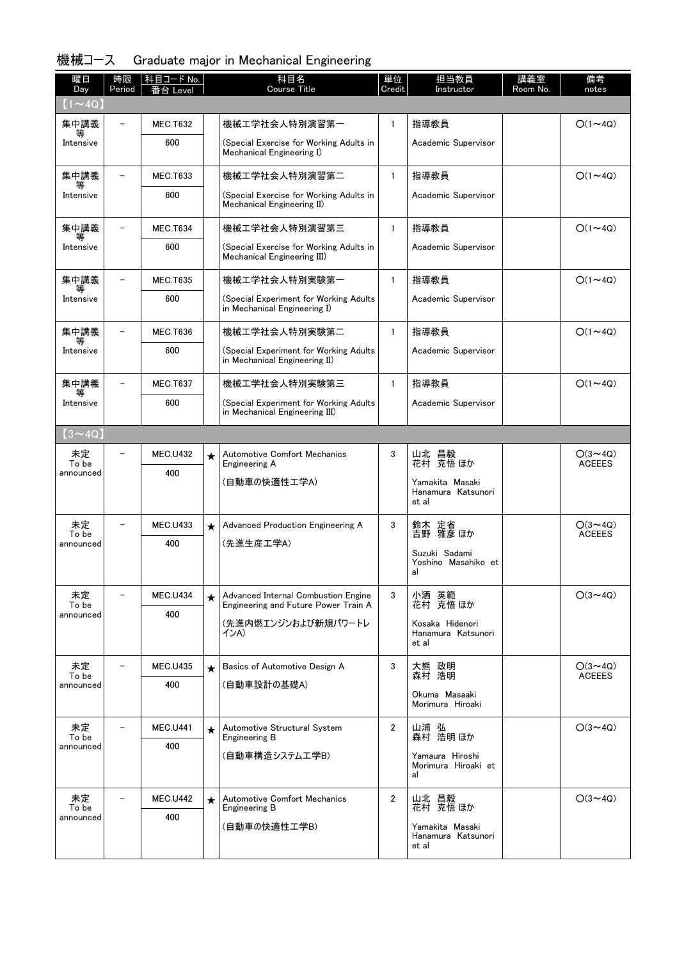| 曜日<br>Day          | 時限<br>Period             | 科目コード No.<br>台 Level |         | 科目名<br><b>Course Title</b>                                                | 単位<br>Credit   | 担当教員<br>Instructor                                     | 講義室<br>Room No. | 備考<br>notes                     |
|--------------------|--------------------------|----------------------|---------|---------------------------------------------------------------------------|----------------|--------------------------------------------------------|-----------------|---------------------------------|
| $(1 \sim 4Q)$      |                          |                      |         |                                                                           |                |                                                        |                 |                                 |
| 集中講義               | $\qquad \qquad -$        | <b>MEC.T632</b>      |         | 機械工学社会人特別演習第一                                                             | $\mathbf{1}$   | 指導教員                                                   |                 | $O(1\sim 4Q)$                   |
| 等<br>Intensive     |                          | 600                  |         | (Special Exercise for Working Adults in<br>Mechanical Engineering I)      |                | Academic Supervisor                                    |                 |                                 |
| 集中講義               |                          | <b>MEC.T633</b>      |         | 機械工学社会人特別演習第二                                                             | $\mathbf{1}$   | 指導教員                                                   |                 | $O(1\sim 4Q)$                   |
| Intensive          |                          | 600                  |         | (Special Exercise for Working Adults in<br>Mechanical Engineering II)     |                | Academic Supervisor                                    |                 |                                 |
| 集中講義<br>等          | $\equiv$                 | <b>MEC.T634</b>      |         | 機械工学社会人特別演習第三                                                             | $\mathbf{1}$   | 指導教員                                                   |                 | $O(1\sim 4Q)$                   |
| Intensive          |                          | 600                  |         | (Special Exercise for Working Adults in<br>Mechanical Engineering III)    |                | Academic Supervisor                                    |                 |                                 |
| 集中講義<br>等          |                          | <b>MEC.T635</b>      |         | 機械工学社会人特別実験第一                                                             | $\mathbf{1}$   | 指導教員                                                   |                 | $O(1\sim 4Q)$                   |
| Intensive          |                          | 600                  |         | (Special Experiment for Working Adults)<br>in Mechanical Engineering I)   |                | Academic Supervisor                                    |                 |                                 |
| 集中講義               |                          | <b>MEC.T636</b>      |         | 機械工学社会人特別実験第二                                                             | $\mathbf{1}$   | 指導教員                                                   |                 | $O(1\sim 4Q)$                   |
| Intensive          |                          | 600                  |         | (Special Experiment for Working Adults)<br>in Mechanical Engineering II)  |                | Academic Supervisor                                    |                 |                                 |
| 集中講義<br>等          | $\overline{\phantom{0}}$ | <b>MEC.T637</b>      |         | 機械工学社会人特別実験第三                                                             | $\mathbf{1}$   | 指導教員                                                   |                 | $O(1\sim 40)$                   |
| Intensive          |                          | 600                  |         | (Special Experiment for Working Adults)<br>in Mechanical Engineering III) |                | Academic Supervisor                                    |                 |                                 |
| $(3 \sim 4Q)$      |                          |                      |         |                                                                           |                |                                                        |                 |                                 |
| 未定<br>To be        |                          | <b>MEC.U432</b>      | $\star$ | Automotive Comfort Mechanics<br>Engineering A                             | 3              | 山北 昌毅<br>花村 克悟ほか                                       |                 | $O(3 \sim 4Q)$<br><b>ACEEES</b> |
| announced          |                          | 400                  |         | (自動車の快適性工学A)                                                              |                | Yamakita Masaki<br>Hanamura Katsunori<br>et al         |                 |                                 |
| 未定                 |                          | <b>MEC.U433</b>      | $\star$ | Advanced Production Engineering A                                         | 3              | 鈴木 定省                                                  |                 | $O(3 \sim 4Q)$                  |
| To be<br>announced |                          | 400                  |         | (先進生産工学A)                                                                 |                | 吉野 雅彦 ほか<br>Suzuki Sadami<br>Yoshino Masahiko et<br>al |                 | <b>ACEEES</b>                   |
| 未定                 | $\overline{\phantom{0}}$ | <b>MEC.U434</b>      | $\star$ | Advanced Internal Combustion Engine                                       | 3              |                                                        |                 | $O(3 \sim 4Q)$                  |
| To be<br>announced |                          | 400                  |         | Engineering and Future Power Train A                                      |                | 小酒 英範<br>花村 克悟ほか                                       |                 |                                 |
|                    |                          |                      |         | (先進内燃エンジンおよび新規パワートレ<br>インA)                                               |                | Kosaka Hidenori<br>Hanamura Katsunori<br>et al         |                 |                                 |
| 未定<br>To be        |                          | <b>MEC.U435</b>      | $\star$ | Basics of Automotive Design A                                             | 3              | 大熊 政明<br>森村 浩明                                         |                 | $O(3 \sim 4Q)$<br><b>ACEEES</b> |
| announced          |                          | 400                  |         | (自動車設計の基礎A)                                                               |                | Okuma Masaaki<br>Morimura Hiroaki                      |                 |                                 |
| 未定                 |                          | <b>MEC.U441</b>      | ★       | Automotive Structural System                                              | $\overline{2}$ | 山浦 弘<br>森村 浩明ほか                                        |                 | $O(3 \sim 4Q)$                  |
| To be<br>announced |                          | 400                  |         | Engineering B<br>(自動車構造システム工学B)                                           |                | Yamaura Hiroshi                                        |                 |                                 |
|                    |                          |                      |         |                                                                           |                | Morimura Hiroaki et<br>al                              |                 |                                 |
| 未定<br>To be        |                          | <b>MEC.U442</b>      | $\star$ | Automotive Comfort Mechanics<br>Engineering B                             | $\overline{2}$ | 山北 昌毅<br>花村 克悟ほか                                       |                 | $O(3 \sim 4Q)$                  |
| announced          |                          | 400                  |         | (自動車の快適性工学B)                                                              |                | Yamakita Masaki<br>Hanamura Katsunori<br>et al         |                 |                                 |
|                    |                          |                      |         |                                                                           |                |                                                        |                 |                                 |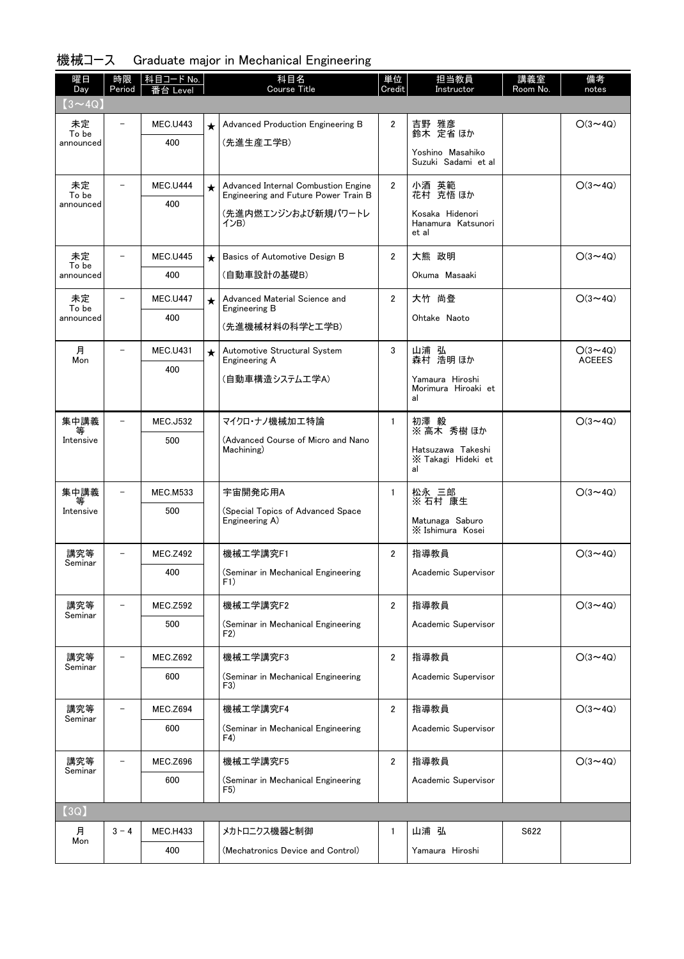| 曜日<br>Day      | 時限<br>Period             | 科目コード No.<br>台<br>Level |         | 科目名<br><b>Course Title</b>                                                  | 単位<br>Credit   | 担当教員<br>Instructor                      | 講義室<br>Room No. | 備考<br>notes    |
|----------------|--------------------------|-------------------------|---------|-----------------------------------------------------------------------------|----------------|-----------------------------------------|-----------------|----------------|
| $(3 \sim 4Q)$  |                          |                         |         |                                                                             |                |                                         |                 |                |
| 未定<br>To be    |                          | MEC.U443                | $\star$ | Advanced Production Engineering B                                           | $\overline{2}$ | 吉野 雅彦<br>鈴木 定省ほか                        |                 | $O(3 \sim 4Q)$ |
| announced      |                          | 400                     |         | (先進生産工学B)                                                                   |                | Yoshino Masahiko                        |                 |                |
|                |                          |                         |         |                                                                             |                | Suzuki Sadami et al                     |                 |                |
| 未定<br>To be    |                          | MEC.U444                | $\star$ | Advanced Internal Combustion Engine<br>Engineering and Future Power Train B | $\overline{2}$ | 小酒 英範<br>花村 克悟ほか                        |                 | $O(3 \sim 4Q)$ |
| announced      |                          | 400                     |         | (先進内燃エンジンおよび新規パワートレ                                                         |                | Kosaka Hidenori                         |                 |                |
|                |                          |                         |         | インB)                                                                        |                | Hanamura Katsunori<br>et al             |                 |                |
| 未定<br>To be    |                          | <b>MEC.U445</b>         | $\star$ | Basics of Automotive Design B                                               | $\overline{2}$ | 大熊 政明                                   |                 | $O(3 \sim 4Q)$ |
| announced      |                          | 400                     |         | (自動車設計の基礎B)                                                                 |                | Okuma Masaaki                           |                 |                |
| 未定<br>To be    | $\overline{\phantom{0}}$ | <b>MEC.U447</b>         | $\star$ | Advanced Material Science and<br>Engineering B                              | $\overline{2}$ | 大竹 尚登                                   |                 | $O(3 \sim 4Q)$ |
| announced      |                          | 400                     |         | (先進機械材料の科学と工学B)                                                             |                | Ohtake Naoto                            |                 |                |
| 月              | $\equiv$                 | <b>MEC.U431</b>         | $\star$ | Automotive Structural System                                                | 3              | 山浦 弘                                    |                 | $O(3 \sim 4Q)$ |
| Mon            |                          | 400                     |         | Engineering A                                                               |                | 森村 浩明ほか                                 |                 | <b>ACEEES</b>  |
|                |                          |                         |         | (自動車構造システム工学A)                                                              |                | Yamaura Hiroshi<br>Morimura Hiroaki et  |                 |                |
|                |                          |                         |         |                                                                             |                | al                                      |                 |                |
| 集中講義<br>等      | $\overline{\phantom{0}}$ | <b>MEC.J532</b>         |         | マイクロ・ナノ機械加工特論                                                               | $\mathbf{1}$   | 初澤 毅<br>※ 高木 秀樹 ほか                      |                 | $O(3 \sim 4Q)$ |
| Intensive      |                          | 500                     |         | (Advanced Course of Micro and Nano<br>Machining)                            |                | Hatsuzawa Takeshi<br>X Takagi Hideki et |                 |                |
|                |                          |                         |         |                                                                             |                | al                                      |                 |                |
| 集中講義<br>等      |                          | <b>MEC.M533</b>         |         | 宇宙開発応用A                                                                     | $\mathbf{1}$   | 松永 三郎<br>※ 石村 康生                        |                 | $O(3 \sim 4Q)$ |
| Intensive      |                          | 500                     |         | (Special Topics of Advanced Space)<br>Engineering A)                        |                | Matunaga Saburo                         |                 |                |
|                |                          |                         |         |                                                                             |                | X Ishimura Kosei                        |                 |                |
| 講究等<br>Seminar | $\overline{\phantom{0}}$ | <b>MEC.Z492</b>         |         | 機械工学講究F1                                                                    | $\overline{2}$ | 指導教員                                    |                 | $O(3 \sim 4Q)$ |
|                |                          | 400                     |         | (Seminar in Mechanical Engineering<br>FI)                                   |                | Academic Supervisor                     |                 |                |
| 講究等            |                          | <b>MEC.Z592</b>         |         | 機械工学講究F2                                                                    | 2              | 指導教員                                    |                 | $O(3 \sim 4Q)$ |
| Seminar        |                          | 500                     |         | (Seminar in Mechanical Engineering                                          |                | Academic Supervisor                     |                 |                |
|                |                          |                         |         | F <sub>2</sub>                                                              |                |                                         |                 |                |
| 講究等<br>Seminar |                          | MEC.Z692                |         | 機械工学講究F3                                                                    | $\overline{2}$ | 指導教員                                    |                 | $O(3 \sim 4Q)$ |
|                |                          | 600                     |         | (Seminar in Mechanical Engineering<br>F3)                                   |                | Academic Supervisor                     |                 |                |
| 講究等            | $\overline{\phantom{0}}$ | <b>MEC.Z694</b>         |         | 機械工学講究F4                                                                    | $\mathbf{2}$   | 指導教員                                    |                 | $O(3 \sim 4Q)$ |
| Seminar        |                          | 600                     |         | (Seminar in Mechanical Engineering<br>F4)                                   |                | Academic Supervisor                     |                 |                |
|                |                          |                         |         |                                                                             |                |                                         |                 |                |
| 講究等<br>Seminar |                          | <b>MEC.Z696</b><br>600  |         | 機械工学講究F5<br>(Seminar in Mechanical Engineering                              | $\mathbf{2}$   | 指導教員<br>Academic Supervisor             |                 | $O(3 \sim 4Q)$ |
|                |                          |                         |         | F5)                                                                         |                |                                         |                 |                |
| [3Q]           |                          |                         |         |                                                                             |                |                                         |                 |                |
| 月<br>Mon       | $3 - 4$                  | <b>MEC.H433</b>         |         | メカトロニクス機器と制御                                                                | $\mathbf{1}$   | 山浦 弘                                    | S622            |                |
|                |                          | 400                     |         | (Mechatronics Device and Control)                                           |                | Yamaura Hiroshi                         |                 |                |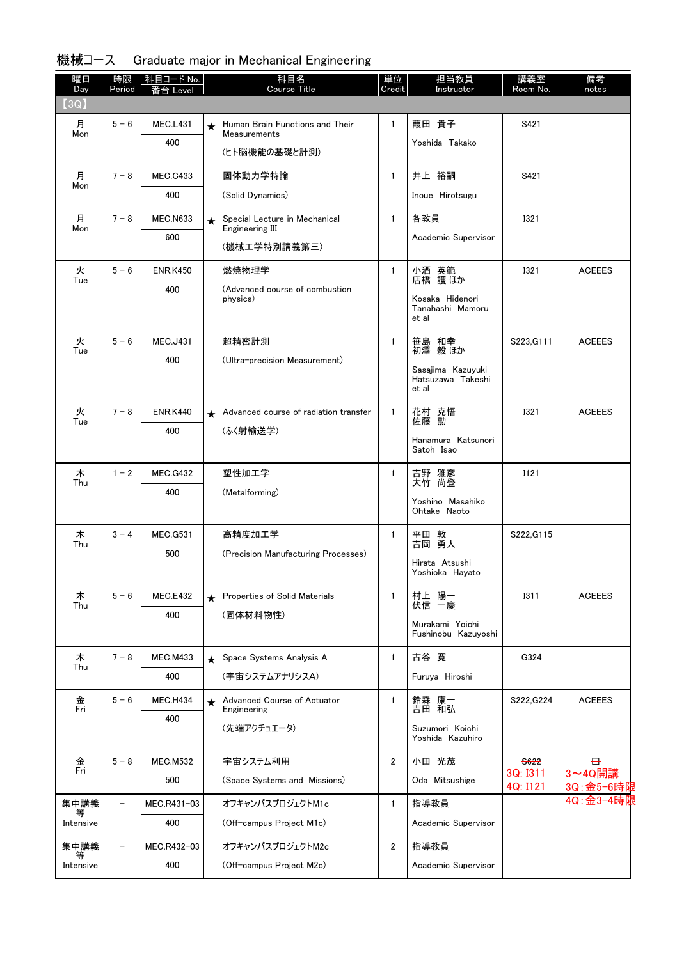| 曜日<br>Day | 時限<br>Period             | 科目コード No.<br>番台 Level |         | 科目名<br><b>Course Title</b>                       | 単位<br>Credit   | 担当教員<br>Instructor                              | 講義室<br>Room No.      | 備考<br>notes          |
|-----------|--------------------------|-----------------------|---------|--------------------------------------------------|----------------|-------------------------------------------------|----------------------|----------------------|
| [3Q]      |                          |                       |         |                                                  |                |                                                 |                      |                      |
| 月<br>Mon  | $5 - 6$                  | <b>MEC.L431</b>       | $\star$ | Human Brain Functions and Their<br>Measurements  | $\mathbf{1}$   | 葭田 貴子                                           | S421                 |                      |
|           |                          | 400                   |         | (ヒト脳機能の基礎と計測)                                    |                | Yoshida Takako                                  |                      |                      |
| 月         | $7 - 8$                  | <b>MEC.C433</b>       |         | 固体動力学特論                                          | $\mathbf{1}$   | 井上 裕嗣                                           | S421                 |                      |
| Mon       |                          | 400                   |         | (Solid Dynamics)                                 |                | Inoue Hirotsugu                                 |                      |                      |
| 月<br>Mon  | $7 - 8$                  | <b>MEC.N633</b>       | $\star$ | Special Lecture in Mechanical<br>Engineering III | 1              | 各教員                                             | <b>I321</b>          |                      |
|           |                          | 600                   |         | (機械工学特別講義第三)                                     |                | Academic Supervisor                             |                      |                      |
| 火<br>Tue  | $5 - 6$                  | <b>ENR.K450</b>       |         | 燃焼物理学                                            | 1              | 小酒 英範<br>店橋 護ほか                                 | <b>I321</b>          | <b>ACEEES</b>        |
|           |                          | 400                   |         | (Advanced course of combustion<br>physics)       |                | Kosaka Hidenori<br>Tanahashi Mamoru<br>et al    |                      |                      |
| 火<br>Tue  | $5 - 6$                  | <b>MEC.J431</b>       |         | 超精密計測                                            | 1              | 笹島 和幸<br>初澤 毅ほか                                 | S223.G111            | <b>ACEEES</b>        |
|           |                          | 400                   |         | (Ultra-precision Measurement)                    |                | Sasajima Kazuyuki<br>Hatsuzawa Takeshi<br>et al |                      |                      |
| 火<br>Tue  | $7 - 8$                  | <b>ENR.K440</b>       | $\star$ | Advanced course of radiation transfer            | 1              | 花村 克悟<br>佐藤 勲                                   | <b>I321</b>          | <b>ACEEES</b>        |
|           |                          | 400                   |         | (ふく射輸送学)                                         |                | Hanamura Katsunori<br>Satoh Isao                |                      |                      |
| 木<br>Thu  | $1 - 2$                  | <b>MEC.G432</b>       |         | 塑性加工学                                            | 1              | 吉野 雅彦<br>大竹 尚登                                  | I121                 |                      |
|           |                          | 400                   |         | (Metalforming)                                   |                | Yoshino Masahiko<br>Ohtake Naoto                |                      |                      |
| 木<br>Thu  | $3 - 4$                  | <b>MEC.G531</b>       |         | 高精度加工学                                           | 1              | 平田 敦<br>吉岡 勇人                                   | S222, G115           |                      |
|           |                          | 500                   |         | (Precision Manufacturing Processes)              |                | Hirata Atsushi<br>Yoshioka Hayato               |                      |                      |
| 木<br>Thu  | $5 - 6$                  | <b>MEC.E432</b>       | $\star$ | Properties of Solid Materials                    | 1              | 村上 陽一<br>伏信 一慶                                  | <b>I311</b>          | <b>ACEEES</b>        |
|           |                          | 400                   |         | (固体材料物性)                                         |                | Murakami Yoichi<br>Fushinobu Kazuyoshi          |                      |                      |
| 木<br>Thu  | $7 - 8$                  | <b>MEC.M433</b>       | $\star$ | Space Systems Analysis A                         | 1              | 古谷 寛                                            | G324                 |                      |
|           |                          | 400                   |         | (宇宙システムアナリシスA)                                   |                | Furuya Hiroshi                                  |                      |                      |
| 金<br>Fri  | $5 - 6$                  | <b>MEC.H434</b>       | $\star$ | Advanced Course of Actuator<br>Engineering       | 1              | 鈴森 康一<br>吉田 和弘                                  | S222, G224           | <b>ACEEES</b>        |
|           |                          | 400                   |         | (先端アクチュエータ)                                      |                | Suzumori Koichi<br>Yoshida Kazuhiro             |                      |                      |
| 金<br>Fri  | $5 - 8$                  | <b>MEC.M532</b>       |         | 宇宙システム利用                                         | $\overline{2}$ | 小田 光茂                                           | S622                 | ⊟                    |
|           |                          | 500                   |         | (Space Systems and Missions)                     |                | Oda Mitsushige                                  | 3Q: I311<br>4Q: I121 | 3~4Q開講<br>3Q: 金5-6時限 |
| 集中講義<br>等 | $\overline{\phantom{0}}$ | MEC.R431-03           |         | オフキャンパスプロジェクトM1c                                 | $\mathbf{1}$   | 指導教員                                            |                      | 4Q∶金3−4時 <b>限</b>    |
| Intensive |                          | 400                   |         | (Off-campus Project M1c)                         |                | Academic Supervisor                             |                      |                      |
| 集中講義<br>等 | -                        | MEC.R432-03           |         | オフキャンパスプロジェクトM2c                                 | $\overline{2}$ | 指導教員                                            |                      |                      |
| Intensive |                          | 400                   |         | (Off-campus Project M2c)                         |                | Academic Supervisor                             |                      |                      |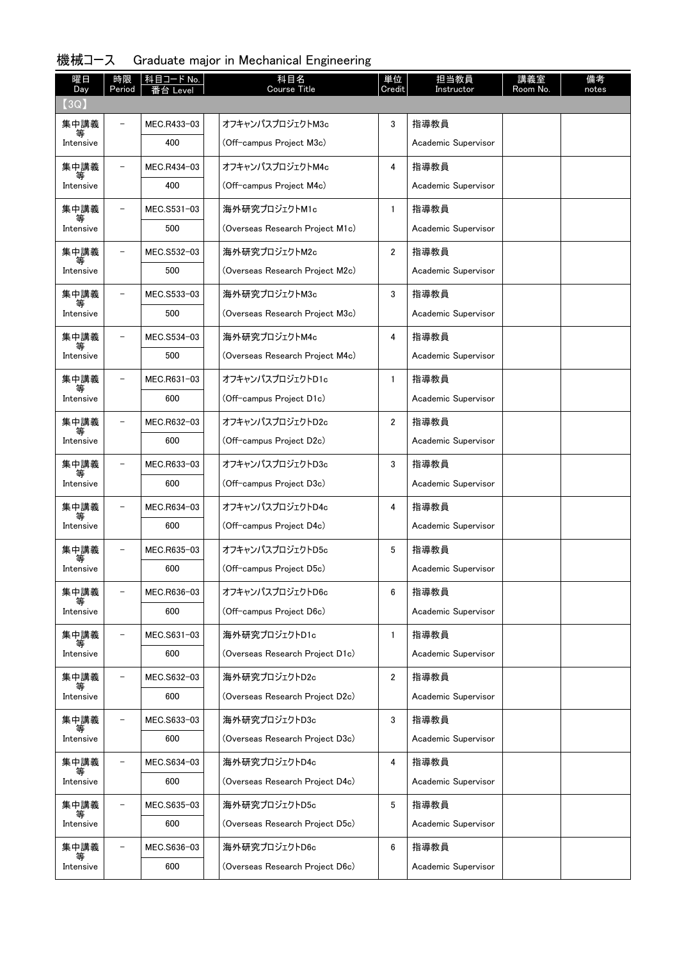#### 曜日 Day 時限 |科目コード No. | ファインの 科目名 Period | 番台 Level | Course Title | Credit | Instructor | Room No. | notes 科目名<br>Course Title 単位 Credit 担当教員 Instructor 講義室 Room No. 備考<br>notes 【3Q】 オフキャンパスプロジェクトM3c (Off-campus Project M3c) 集中講義 等 **Intensive**  $-$  MEC.R433-03 400 3 指導教員 Academic Supervisor オフキャンパスプロジェクトM4c (Off-campus Project M4c) 集中講義 等 Intensive MEC.R434-03 400 4 指導教員 Academic Supervisor 海外研究プロジェクトM1c (Overseas Research Project M1c) 集中講義 等 Intensive  $-$  MEC.S531-03 500 1 指導教員 Academic Supervisor 海外研究プロジェクトM2c (Overseas Research Project M2c) 集中講義 等 Intensive  $-$  MEC.S532-03 500 2 指導教員 Academic Supervisor 海外研究プロジェクトM3c (Overseas Research Project M3c) 集中講義 等 Intensive MEC.S533-03 500 3 指導教員 Academic Supervisor 海外研究プロジェクトM4c (Overseas Research Project M4c) 集中講義 等 Intensive - MEC.S534-03 500 4 指導教員 Academic Supervisor オフキャンパスプロジェクトD1c (Off-campus Project D1c) 集中講義 等 Intensive  $-$  MEC.R631-03  $600$ 1 指導教員 Academic Supervisor オフキャンパスプロジェクトD2c (Off-campus Project D2c) 集中講義 等 Intensive MEC.R632-03 600 2 指導教員 Academic Supervisor オフキャンパスプロジェクトD3c (Off-campus Project D3c) 集中講義 等 Intensive - MEC.R633-03 600 3 指導教員 Academic Supervisor オフキャンパスプロジェクトD4c (Off-campus Project D4c) 集中講義 等 Intensive  $-$  MEC.R634-03 600 4 指導教員 Academic Supervisor オフキャンパスプロジェクトD5c (Off-campus Project D5c) 集中講義 等 Intensive MEC.R635-03 600 5 指導教員 Academic Supervisor オフキャンパスプロジェクトD6c (Off-campus Project D6c) 集中講義 等 Intensive MEC.R636-03 600 6 指導教員 Academic Supervisor 海外研究プロジェクトD1c (Overseas Research Project D1c) 集中講義 等 Intensive  $-$  MEC.S631-03  $600$ 1 指導教員 Academic Supervisor 海外研究プロジェクトD2c (Overseas Research Project D2c) 集中講義 等 Intensive - MEC.S632-03 600 2 指導教員 Academic Supervisor 海外研究プロジェクトD3c (Overseas Research Project D3c) 集中講義 等 Intensive MEC.S633-03 600 3 指導教員 Academic Supervisor 海外研究プロジェクトD4c (Overseas Research Project D4c) 集中講義 等 Intensive - MEC.S634-03 600 4 指導教員 Academic Supervisor 海外研究プロジェクトD5c (Overseas Research Project D5c) 集中講義 等 Intensive - MEC.S635-03 600 5 指導教員 Academic Supervisor 海外研究プロジェクトD6c (Overseas Research Project D6c) 集中講義 等 Intensive - MEC.S636-03 600 6 指導教員 Academic Supervisor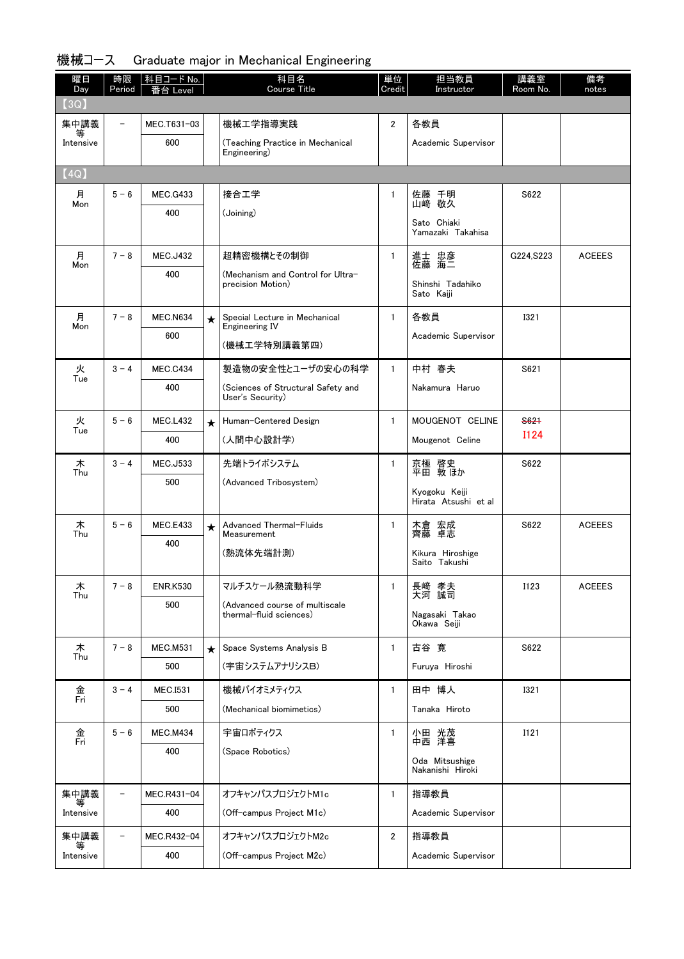| 曜日<br>Day      | 時限<br>Period             | 科目コード No.<br>番台 Level |         | 科目名<br><b>Course Title</b>                                | 単位<br>Credit   | 担当教員<br>Instructor                           | 講義室<br>Room No. | 備考<br>notes   |
|----------------|--------------------------|-----------------------|---------|-----------------------------------------------------------|----------------|----------------------------------------------|-----------------|---------------|
| (3Q)           |                          |                       |         |                                                           |                |                                              |                 |               |
| 集中講義           | $\equiv$                 | MEC.T631-03           |         | 機械工学指導実践                                                  | $\overline{2}$ | 各教員                                          |                 |               |
| Intensive      |                          | 600                   |         | (Teaching Practice in Mechanical<br>Engineering)          |                | Academic Supervisor                          |                 |               |
| (4Q)           |                          |                       |         |                                                           |                |                                              |                 |               |
| 月              | $5 - 6$                  | <b>MEC.G433</b>       |         | 接合工学                                                      | 1              | 佐藤<br>千明                                     | S622            |               |
| Mon            |                          | 400                   |         | (Joining)                                                 |                | 敬久<br>山﨑<br>Sato Chiaki<br>Yamazaki Takahisa |                 |               |
| 月              | $7 - 8$                  | <b>MEC.J432</b>       |         | 超精密機構とその制御                                                | $\mathbf{1}$   | 進士 忠彦<br>佐藤 海二                               | G224, S223      | <b>ACEEES</b> |
| Mon            |                          | 400                   |         | (Mechanism and Control for Ultra-<br>precision Motion)    |                | Shinshi Tadahiko<br>Sato Kaiji               |                 |               |
| 月              | $7 - 8$                  | <b>MEC.N634</b>       | $\star$ | Special Lecture in Mechanical                             | $\mathbf{1}$   | 各教員                                          | <b>I321</b>     |               |
| Mon            |                          | 600                   |         | <b>Engineering IV</b>                                     |                | Academic Supervisor                          |                 |               |
|                |                          |                       |         | (機械工学特別講義第四)                                              |                |                                              |                 |               |
| 火<br>Tue       | $3 - 4$                  | <b>MEC.C434</b>       |         | 製造物の安全性とユーザの安心の科学                                         | $\mathbf{1}$   | 中村 春夫                                        | S621            |               |
|                |                          | 400                   |         | (Sciences of Structural Safety and<br>User's Security)    |                | Nakamura Haruo                               |                 |               |
| 火<br>Tue       | $5 - 6$                  | <b>MEC.L432</b>       | $\star$ | Human-Centered Design                                     | $\mathbf{1}$   | MOUGENOT CELINE                              | S621            |               |
|                |                          | 400                   |         | (人間中心設計学)                                                 |                | Mougenot Celine                              | <b>I124</b>     |               |
| 木<br>Thu       | $3 - 4$                  | <b>MEC.J533</b>       |         | 先端トライボシステム                                                | $\mathbf{1}$   | 京極 啓史<br>平田 敦ほか                              | S622            |               |
|                |                          | 500                   |         | (Advanced Tribosystem)                                    |                | Kyogoku Keiji<br>Hirata Atsushi et al        |                 |               |
| 木              | $5 - 6$                  | MEC.E433              | $\star$ | Advanced Thermal-Fluids                                   | $\mathbf{1}$   | 木倉 宏成                                        | S622            | <b>ACEEES</b> |
| Thu            |                          | 400                   |         | Measurement<br>(熱流体先端計測)                                  |                | 齊藤 卓志<br>Kikura Hiroshige                    |                 |               |
|                |                          |                       |         |                                                           |                | Saito Takushi                                |                 |               |
| 木              | $7 - 8$                  | <b>ENR.K530</b>       |         | マルチスケール熱流動科学                                              | 1              | 長崎 孝夫                                        | <b>I123</b>     | <b>ACEEES</b> |
| Thu            |                          | 500                   |         | (Advanced course of multiscale<br>thermal-fluid sciences) |                | 大河 誠司<br>Nagasaki Takao                      |                 |               |
|                |                          |                       |         |                                                           |                | Okawa Seiji                                  |                 |               |
| 木              | $7 - 8$                  | <b>MEC.M531</b>       | $\star$ | Space Systems Analysis B                                  | $\mathbf{1}$   | 古谷 寛                                         | S622            |               |
| Thu            |                          | 500                   |         | (宇宙システムアナリシスB)                                            |                | Furuya Hiroshi                               |                 |               |
| 金<br>Fri       | $3 - 4$                  | <b>MEC.I531</b>       |         | 機械バイオミメティクス                                               | $\mathbf{1}$   | 田中 博人                                        | <b>I321</b>     |               |
|                |                          | 500                   |         | (Mechanical biomimetics)                                  |                | Tanaka Hiroto                                |                 |               |
| 金<br>Fri       | $5 - 6$                  | <b>MEC.M434</b>       |         | 宇宙ロボティクス                                                  | 1              | 小田 光茂<br>中西 洋喜                               | I121            |               |
|                |                          | 400                   |         | (Space Robotics)                                          |                |                                              |                 |               |
|                |                          |                       |         |                                                           |                | Oda Mitsushige<br>Nakanishi Hiroki           |                 |               |
| 集中講義           | $\overline{\phantom{0}}$ | MEC.R431-04           |         | オフキャンパスプロジェクトM1c                                          | $\mathbf{1}$   | 指導教員                                         |                 |               |
| Intensive      |                          | 400                   |         | (Off-campus Project M1c)                                  |                | Academic Supervisor                          |                 |               |
| 集中講義           | $\overline{\phantom{0}}$ | MEC.R432-04           |         | オフキャンパスプロジェクトM2c                                          | $\overline{2}$ | 指導教員                                         |                 |               |
| 等<br>Intensive |                          | 400                   |         | (Off-campus Project M2c)                                  |                | Academic Supervisor                          |                 |               |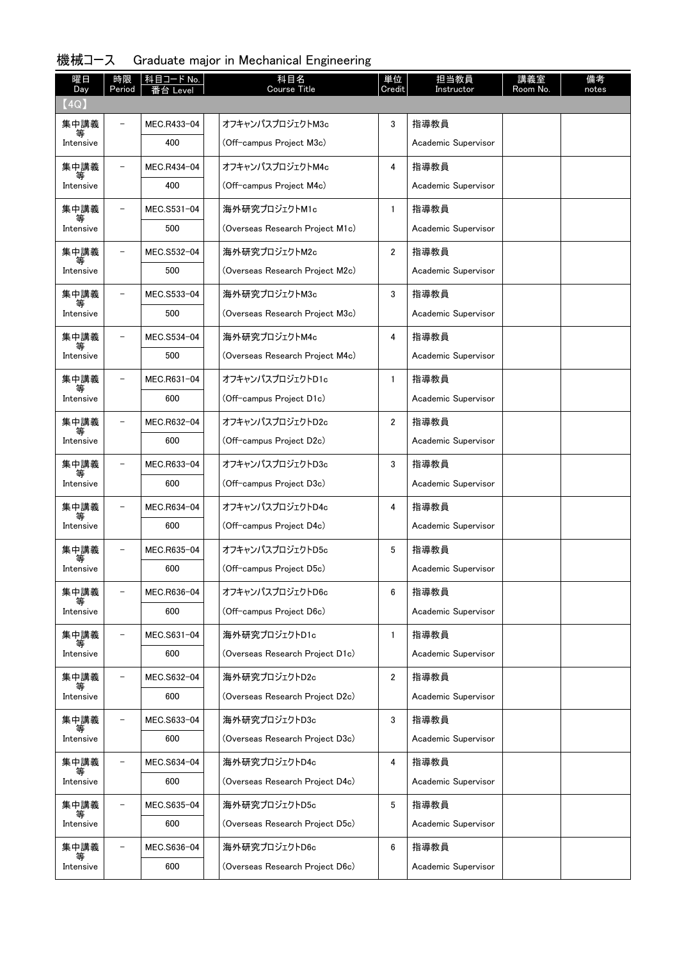#### 曜日 Day 時限 |科目コード No. | ファインの 科目名 Period | 番台 Level | Course Title | Credit | Instructor | Room No. | notes 科目名<br>Course Title 単位 Credit 担当教員 Instructor 講義室 Room No. 備考<br>notes 【4Q】 オフキャンパスプロジェクトM3c (Off-campus Project M3c) 集中講義 等 **Intensive**  $-$  MEC.R433-04 400 3 指導教員 Academic Supervisor オフキャンパスプロジェクトM4c (Off-campus Project M4c) 集中講義 等 Intensive MEC.R434-04 400 4 指導教員 Academic Supervisor 海外研究プロジェクトM1c (Overseas Research Project M1c) 集中講義 等 Intensive  $-$  MEC.S531-04 500 1 指導教員 Academic Supervisor 海外研究プロジェクトM2c (Overseas Research Project M2c) 集中講義 等 Intensive  $-$  MEC.S532-04 500 2 指導教員 Academic Supervisor 海外研究プロジェクトM3c (Overseas Research Project M3c) 集中講義 等 Intensive MEC.S533-04 500 3 指導教員 Academic Supervisor 海外研究プロジェクトM4c (Overseas Research Project M4c) 集中講義 等 Intensive - MEC.S534-04 500 4 指導教員 Academic Supervisor オフキャンパスプロジェクトD1c (Off-campus Project D1c) 集中講義 等 Intensive  $-$  MEC.R631-04  $600$ 1 指導教員 Academic Supervisor オフキャンパスプロジェクトD2c (Off-campus Project D2c) 集中講義 等 Intensive MEC.R632-04 600 2 指導教員 Academic Supervisor オフキャンパスプロジェクトD3c (Off-campus Project D3c) 集中講義 等 Intensive - MEC.R633-04 600 3 指導教員 Academic Supervisor オフキャンパスプロジェクトD4c (Off-campus Project D4c) 集中講義 等 Intensive - MEC.R634-04 600 4 指導教員 Academic Supervisor オフキャンパスプロジェクトD5c (Off-campus Project D5c) 集中講義 等 Intensive MEC.R635-04 600 5 指導教員 Academic Supervisor オフキャンパスプロジェクトD6c (Off-campus Project D6c) 集中講義 等 Intensive MEC.R636-04 600 6 指導教員 Academic Supervisor 海外研究プロジェクトD1c (Overseas Research Project D1c) 集中講義 等 Intensive  $-$  MEC.S631-04  $600$ 1 指導教員 Academic Supervisor 海外研究プロジェクトD2c (Overseas Research Project D2c) 集中講義 等 Intensive - MEC.S632-04 600 2 指導教員 Academic Supervisor 海外研究プロジェクトD3c (Overseas Research Project D3c) 集中講義 等 Intensive MEC.S633-04 600 3 指導教員 Academic Supervisor 海外研究プロジェクトD4c (Overseas Research Project D4c) 集中講義 等 Intensive - MEC.S634-04 600 4 指導教員 Academic Supervisor 海外研究プロジェクトD5c (Overseas Research Project D5c) 集中講義 等 Intensive - MEC.S635-04 600 5 指導教員 Academic Supervisor 海外研究プロジェクトD6c (Overseas Research Project D6c) 集中講義 等 Intensive - MEC.S636-04 600 6 指導教員 Academic Supervisor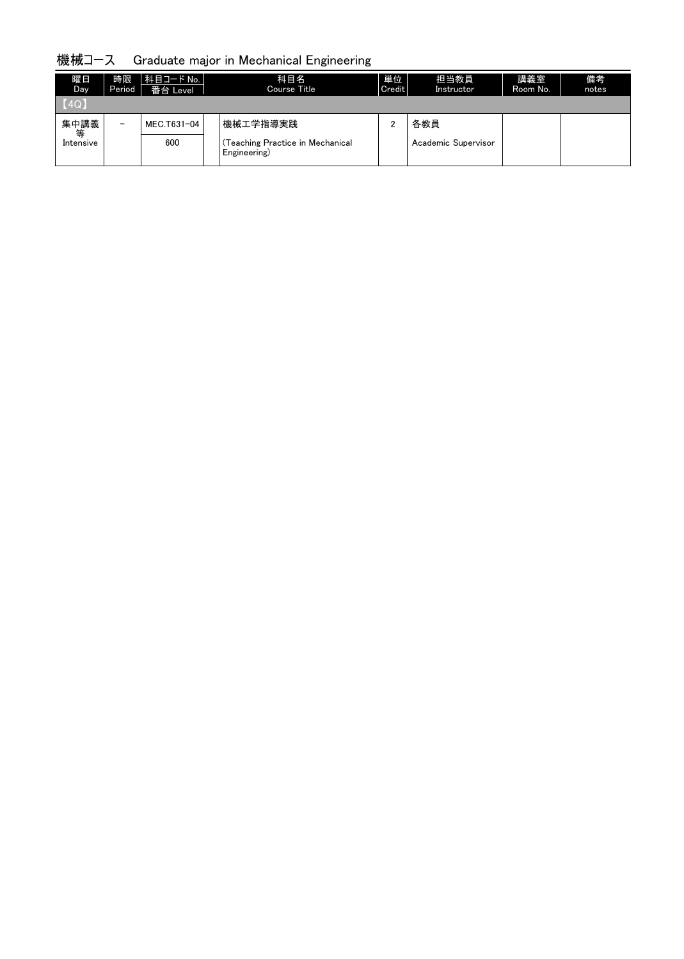| 曜日<br>Day.             | 時限<br>Period             | │科目コード No. │<br>番台 Level | 科目名<br>Course Title                                          | 単位<br>Credit | 担当教員<br>Instructor         | 講義室<br>Room No. | 備考<br>notes |
|------------------------|--------------------------|--------------------------|--------------------------------------------------------------|--------------|----------------------------|-----------------|-------------|
| (4Q)                   |                          |                          |                                                              |              |                            |                 |             |
| 集中講義<br>等<br>Intensive | $\overline{\phantom{m}}$ | MEC.T631-04<br>600       | 機械工学指導実践<br>(Teaching Practice in Mechanical<br>Engineering) |              | 各教員<br>Academic Supervisor |                 |             |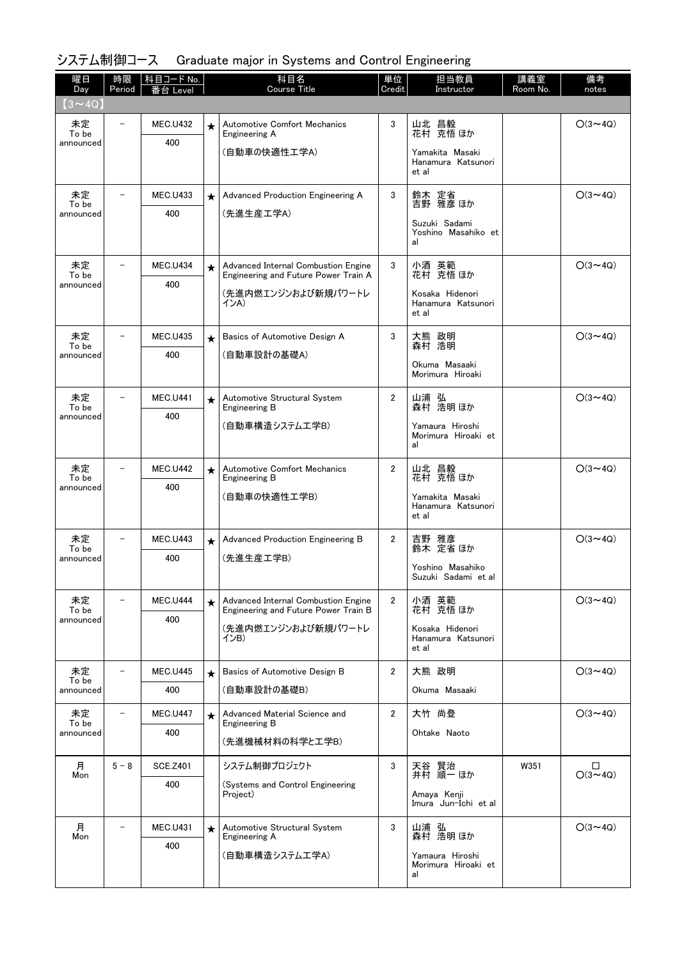| 曜日<br>Day          | 時限<br>Period             | 科目コード No.<br>番台 Level |         | 科目名<br><b>Course Title</b>                                                  | 単位<br>Credit   | 担当教員<br>Instructor                             | 講義室<br>Room No. | 備考<br>notes         |
|--------------------|--------------------------|-----------------------|---------|-----------------------------------------------------------------------------|----------------|------------------------------------------------|-----------------|---------------------|
| $(3 \sim 4Q)$      |                          |                       |         |                                                                             |                |                                                |                 |                     |
| 未定<br>To be        |                          | <b>MEC.U432</b>       | $\star$ | <b>Automotive Comfort Mechanics</b><br>Engineering A                        | 3              | 山北 昌毅<br>花村 克悟ほか                               |                 | $O(3 \sim 4Q)$      |
| announced          |                          | 400                   |         | (自動車の快適性工学A)                                                                |                | Yamakita Masaki<br>Hanamura Katsunori<br>et al |                 |                     |
| 未定                 |                          | <b>MEC.U433</b>       | $\star$ | Advanced Production Engineering A                                           | 3              | 鈴木 定省<br>吉野 雅彦 ほか                              |                 | $O(3 \sim 4Q)$      |
| To be<br>announced |                          | 400                   |         | (先進生産工学A)                                                                   |                | Suzuki Sadami<br>Yoshino Masahiko et<br>al     |                 |                     |
| 未定<br>To be        | $\overline{\phantom{0}}$ | <b>MEC.U434</b>       | $\star$ | Advanced Internal Combustion Engine<br>Engineering and Future Power Train A | 3              | 小酒 英範<br>花村 克悟ほか                               |                 | $O(3 \sim 4Q)$      |
| announced          |                          | 400                   |         | (先進内燃エンジンおよび新規パワートレ<br>インA)                                                 |                | Kosaka Hidenori<br>Hanamura Katsunori<br>et al |                 |                     |
| 未定<br>To be        |                          | <b>MEC.U435</b>       | $\star$ | Basics of Automotive Design A                                               | 3              | 大熊 政明<br>森村 浩明                                 |                 | $O(3 \sim 4Q)$      |
| announced          |                          | 400                   |         | (自動車設計の基礎A)                                                                 |                | Okuma Masaaki<br>Morimura Hiroaki              |                 |                     |
| 未定<br>To be        |                          | <b>MEC.U441</b>       | $\star$ | Automotive Structural System<br>Engineering B                               | 2              | 山浦 弘<br>森村 浩明ほか                                |                 | $O(3 \sim 4Q)$      |
| announced          |                          | 400                   |         | (自動車構造システム工学B)                                                              |                | Yamaura Hiroshi<br>Morimura Hiroaki et<br>al   |                 |                     |
| 未定<br>To be        |                          | <b>MEC.U442</b>       | $\star$ | <b>Automotive Comfort Mechanics</b><br>Engineering B                        | $\overline{2}$ | 山北 昌毅<br>花村 克悟ほか                               |                 | $O(3 \sim 4Q)$      |
| announced          |                          | 400                   |         | (自動車の快適性工学B)                                                                |                | Yamakita Masaki<br>Hanamura Katsunori<br>et al |                 |                     |
| 未定<br>To be        | $\overline{\phantom{0}}$ | <b>MEC.U443</b>       | $\star$ | Advanced Production Engineering B                                           | $\overline{2}$ | 吉野 雅彦<br>鈴木 定省ほか                               |                 | $O(3 \sim 4Q)$      |
| announced          |                          | 400                   |         | (先進生産工学B)                                                                   |                | Yoshino Masahiko<br>Suzuki Sadami et al        |                 |                     |
| 未定<br>To be        | $\overline{\phantom{m}}$ | <b>MEC.U444</b>       | $\star$ | Advanced Internal Combustion Engine<br>Engineering and Future Power Train B | $\mathbf{2}$   | 小酒 英範<br>花村 克悟ほか                               |                 | $O(3 \sim 4Q)$      |
| announced          |                          | 400                   |         | (先進内燃エンジンおよび新規パワートレ<br>インB)                                                 |                | Kosaka Hidenori<br>Hanamura Katsunori<br>et al |                 |                     |
| 未定<br>To be        |                          | <b>MEC.U445</b>       | $\star$ | Basics of Automotive Design B                                               | $\overline{2}$ | 大熊 政明                                          |                 | $O(3 \sim 4Q)$      |
| announced          |                          | 400                   |         | (自動車設計の基礎B)                                                                 |                | Okuma Masaaki                                  |                 |                     |
| 未定<br>To be        |                          | <b>MEC.U447</b>       | $\star$ | Advanced Material Science and<br>Engineering B                              | $\overline{2}$ | 大竹 尚登                                          |                 | $O(3 \sim 4Q)$      |
| announced          |                          | 400                   |         | (先進機械材料の科学と工学B)                                                             |                | Ohtake Naoto                                   |                 |                     |
| 月<br>Mon           | $5 - 8$                  | <b>SCE.Z401</b>       |         | システム制御プロジェクト                                                                | 3              | 天谷 賢治<br>井村 順一 ほか                              | W351            | □<br>$O(3 \sim 4Q)$ |
|                    |                          | 400                   |         | (Systems and Control Engineering<br>Project)                                |                | Amaya Kenji<br>Imura Jun-Ichi et al            |                 |                     |
| 月<br>Mon           | $\overline{\phantom{0}}$ | <b>MEC.U431</b>       | $\star$ | Automotive Structural System<br>Engineering A                               | 3              | 山浦 弘<br>森村 浩明ほか                                |                 | $O(3 \sim 4Q)$      |
|                    |                          | 400                   |         | (自動車構造システム工学A)                                                              |                | Yamaura Hiroshi<br>Morimura Hiroaki et<br>al   |                 |                     |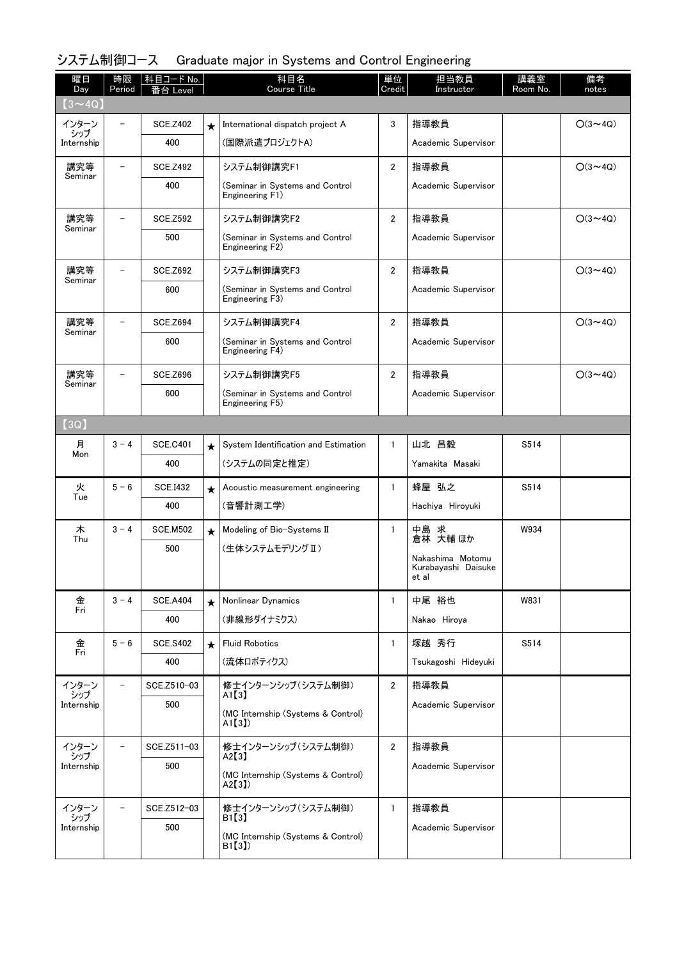| 曜日<br>Day         | 時限<br>Period             | 科目コード No.<br>Level<br>台 |         | 科目名<br><b>Course Title</b>                           | 単位<br>Credit   | 担当教員<br>Instructor                               | 講義室<br>Room No. | 備考<br>notes    |
|-------------------|--------------------------|-------------------------|---------|------------------------------------------------------|----------------|--------------------------------------------------|-----------------|----------------|
| $(3 \sim 40)$     |                          |                         |         |                                                      |                |                                                  |                 |                |
| インターン<br>シップ      |                          | <b>SCE.Z402</b>         | $\star$ | International dispatch project A                     | 3              | 指導教員                                             |                 | $O(3 \sim 4Q)$ |
| Internship        |                          | 400                     |         | (国際派遣プロジェクトA)                                        |                | Academic Supervisor                              |                 |                |
| 講究等               | $\overline{\phantom{0}}$ | <b>SCE.Z492</b>         |         | システム制御講究F1                                           | $\overline{2}$ | 指導教員                                             |                 | $O(3 \sim 4Q)$ |
| Seminar           |                          | 400                     |         | (Seminar in Systems and Control<br>Engineering F1)   |                | Academic Supervisor                              |                 |                |
| 講究等<br>Seminar    | $\qquad \qquad -$        | <b>SCE.Z592</b>         |         | システム制御講究F2                                           | $\overline{2}$ | 指導教員                                             |                 | $O(3 \sim 4Q)$ |
|                   |                          | 500                     |         | (Seminar in Systems and Control<br>Engineering F2)   |                | Academic Supervisor                              |                 |                |
| 講究等<br>Seminar    |                          | <b>SCE.Z692</b>         |         | システム制御講究F3                                           | $\overline{2}$ | 指導教員                                             |                 | $O(3 \sim 4Q)$ |
|                   |                          | 600                     |         | (Seminar in Systems and Control<br>Engineering F3)   |                | Academic Supervisor                              |                 |                |
| 講究等<br>Seminar    |                          | SCE.Z694                |         | システム制御講究F4                                           | $\overline{2}$ | 指導教員                                             |                 | $O(3 \sim 4Q)$ |
|                   |                          | 600                     |         | (Seminar in Systems and Control<br>Engineering F4)   |                | Academic Supervisor                              |                 |                |
| 講究等<br>Seminar    | -                        | <b>SCE.Z696</b>         |         | システム制御講究F5                                           | $\overline{2}$ | 指導教員                                             |                 | $O(3 \sim 4Q)$ |
|                   |                          | 600                     |         | (Seminar in Systems and Control<br>Engineering F5)   |                | Academic Supervisor                              |                 |                |
| (3Q)              |                          |                         |         |                                                      |                |                                                  |                 |                |
| 月<br>Mon          | $3 - 4$                  | <b>SCE.C401</b>         | $\star$ | System Identification and Estimation                 | $\mathbf{1}$   | 山北 昌毅                                            | S514            |                |
|                   |                          | 400                     |         | (システムの同定と推定)                                         |                | Yamakita Masaki                                  |                 |                |
| 火<br>Tue          | $5 - 6$                  | <b>SCE.I432</b>         | $\star$ | Acoustic measurement engineering                     | $\mathbf{1}$   | 蜂屋 弘之                                            | S514            |                |
|                   |                          | 400                     |         | (音響計測工学)                                             |                | Hachiya Hiroyuki                                 |                 |                |
| 木<br>Thu          | $3 - 4$                  | <b>SCE.M502</b>         | $\star$ | Modeling of Bio-Systems II                           | $\mathbf{1}$   | 中島 求<br>倉林 大輔 ほか                                 | W934            |                |
|                   |                          | 500                     |         | (生体システムモデリング II)                                     |                | Nakashima Motomu<br>Kurabayashi Daisuke<br>et al |                 |                |
| 金<br>Fri          | $3 - 4$                  | <b>SCE.A404</b>         | $\star$ | Nonlinear Dynamics                                   | $\mathbf{1}$   | 中尾 裕也                                            | W831            |                |
|                   |                          | 400                     |         | (非線形ダイナミクス)                                          |                | Nakao Hiroya                                     |                 |                |
| 金<br>Fri          | $5 - 6$                  | <b>SCE.S402</b>         | $\star$ | <b>Fluid Robotics</b>                                | $\mathbf{1}$   | 塚越 秀行                                            | S514            |                |
|                   |                          | 400                     |         | (流体ロボティクス)                                           |                | Tsukagoshi Hideyuki                              |                 |                |
| インターン<br>シップ      |                          | SCE.Z510-03             |         | 修士インターンシップ(システム制御)<br>A1[3]                          | $\mathbf{2}$   | 指導教員                                             |                 |                |
| Internship        |                          | 500                     |         | (MC Internship (Systems & Control)<br>A1[3]          |                | Academic Supervisor                              |                 |                |
| インターン             |                          | SCE.Z511-03             |         | 修士インターンシップ(システム制御)                                   | $\mathbf{2}$   | 指導教員                                             |                 |                |
| シップ<br>Internship |                          | 500                     |         | A2[3]<br>(MC Internship (Systems & Control)<br>A2[3] |                | Academic Supervisor                              |                 |                |
| インターン<br>シップ      |                          | SCE.Z512-03             |         | 修士インターンシップ (システム制御)<br>B1[3]                         | $\mathbf{1}$   | 指導教員                                             |                 |                |
| Internship        |                          | 500                     |         | (MC Internship (Systems & Control)<br>B1[3])         |                | Academic Supervisor                              |                 |                |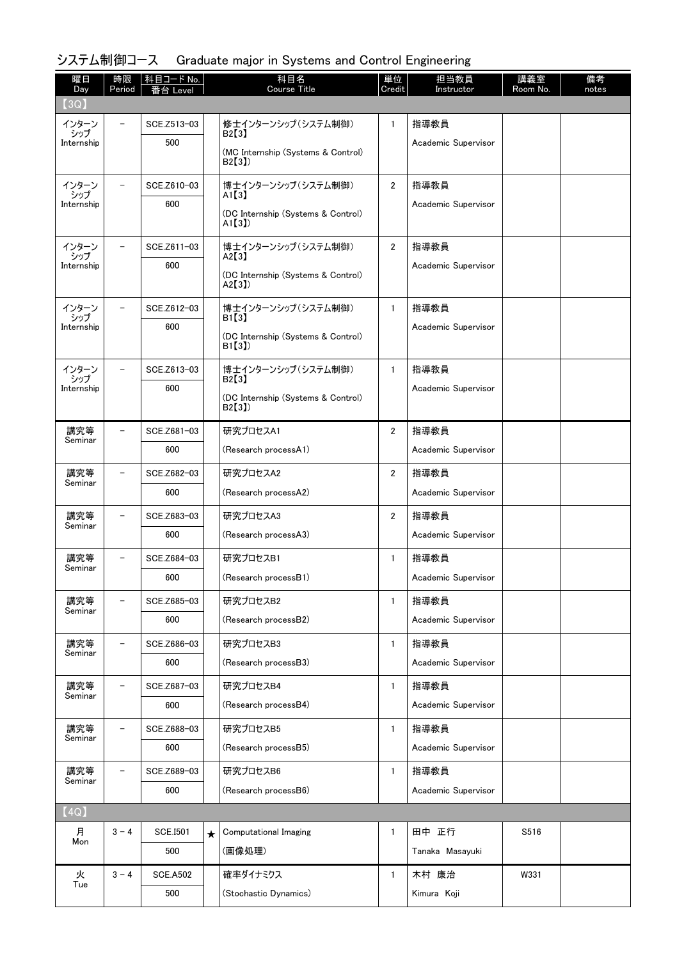| 曜日<br>Day         | 時限<br>Period             | <b>科目コード No.</b><br>Level |         | 科目名<br>Course Title                                  | 単位<br>Credit   | 担当教員<br>Instructor       | 講義室<br>Room No. | 備考<br>notes |
|-------------------|--------------------------|---------------------------|---------|------------------------------------------------------|----------------|--------------------------|-----------------|-------------|
| (3Q)              |                          |                           |         |                                                      |                |                          |                 |             |
| インターン             |                          | SCE.Z513-03               |         | 修士インターンシップ(システム制御)                                   | $\mathbf{1}$   | 指導教員                     |                 |             |
| シップ<br>Internship |                          | 500                       |         | B2[3]<br>(MC Internship (Systems & Control)<br>B2[3] |                | Academic Supervisor      |                 |             |
| インターン             | $\overline{\phantom{0}}$ | SCE.Z610-03               |         | 博士インターンシップ(システム制御)                                   | $\overline{2}$ | 指導教員                     |                 |             |
| シップ<br>Internship |                          | 600                       |         | AI[3]<br>(DC Internship (Systems & Control)<br>A1[3] |                | Academic Supervisor      |                 |             |
| インターン             |                          | SCE.Z611-03               |         | 博士インターンシップ(システム制御)                                   | $\overline{2}$ | 指導教員                     |                 |             |
| シップ<br>Internship |                          | 600                       |         | A2[3]<br>(DC Internship (Systems & Control)<br>A2[3] |                | Academic Supervisor      |                 |             |
| インターン<br>シップ      | $\overline{\phantom{0}}$ | SCE.Z612-03               |         | 博士インターンシップ(システム制御)<br>B1(3)                          | $\mathbf{1}$   | 指導教員                     |                 |             |
| Internship        |                          | 600                       |         | (DC Internship (Systems & Control)<br>B1[3]          |                | Academic Supervisor      |                 |             |
| インターン<br>シップ      | $\equiv$                 | SCE.Z613-03               |         | 博士インターンシップ(システム制御)<br>B2[3]                          | $\mathbf{1}$   | 指導教員                     |                 |             |
| Internship        |                          | 600                       |         | (DC Internship (Systems & Control)<br>B2[3]          |                | Academic Supervisor      |                 |             |
| 講究等<br>Seminar    | $\overline{\phantom{0}}$ | SCE.Z681-03               |         | 研究プロセスA1                                             | $\overline{2}$ | 指導教員                     |                 |             |
|                   |                          | 600                       |         | (Research processA1)                                 |                | Academic Supervisor      |                 |             |
| 講究等<br>Seminar    |                          | SCE.Z682-03               |         | 研究プロセスA2                                             | $\overline{2}$ | 指導教員                     |                 |             |
|                   |                          | 600                       |         | (Research processA2)                                 |                | Academic Supervisor      |                 |             |
| 講究等<br>Seminar    | $\overline{\phantom{0}}$ | SCE.Z683-03               |         | 研究プロセスA3                                             | $\overline{2}$ | 指導教員                     |                 |             |
|                   |                          | 600                       |         | (Research processA3)                                 |                | Academic Supervisor      |                 |             |
| 講究等<br>Seminar    | $\equiv$                 | SCE.Z684-03               |         | 研究プロセスB1                                             | $\mathbf{1}$   | 指導教員                     |                 |             |
|                   |                          | 600                       |         | (Research processB1)                                 |                | Academic Supervisor      |                 |             |
| 講究等<br>Seminar    | $\overline{\phantom{0}}$ | SCE.Z685-03               |         | 研究プロセスB2                                             | $\mathbf{1}$   | 指導教員                     |                 |             |
|                   |                          | 600                       |         | (Research processB2)                                 |                | Academic Supervisor      |                 |             |
| 講究等<br>Seminar    | $\overline{\phantom{0}}$ | SCE.Z686-03               |         | 研究プロセスB3                                             | $\mathbf{1}$   | 指導教員                     |                 |             |
|                   |                          | 600                       |         | (Research processB3)                                 |                | Academic Supervisor      |                 |             |
| 講究等<br>Seminar    |                          | SCE.Z687-03               |         | 研究プロセスB4                                             | $\mathbf{1}$   | 指導教員                     |                 |             |
|                   |                          | 600                       |         | (Research processB4)                                 |                | Academic Supervisor      |                 |             |
| 講究等<br>Seminar    | -                        | SCE.Z688-03               |         | 研究プロセスB5                                             | $\mathbf{1}$   | 指導教員                     |                 |             |
|                   |                          | 600                       |         | (Research processB5)                                 |                | Academic Supervisor      |                 |             |
| 講究等<br>Seminar    | -                        | SCE.Z689-03               |         | 研究プロセスB6                                             | $\mathbf{1}$   | 指導教員                     |                 |             |
|                   |                          | 600                       |         | (Research processB6)                                 |                | Academic Supervisor      |                 |             |
| [4Q]              |                          |                           |         |                                                      |                |                          |                 |             |
| 月<br>Mon          | $3 - 4$                  | <b>SCE.I501</b><br>500    | $\star$ | Computational Imaging<br>(画像処理)                      | $\mathbf{1}$   | 田中 正行<br>Tanaka Masayuki | S516            |             |
|                   |                          |                           |         |                                                      |                |                          |                 |             |
| 火<br>Tue          | $3 - 4$                  | <b>SCE.A502</b><br>500    |         | 確率ダイナミクス<br>(Stochastic Dynamics)                    | $\mathbf{1}$   | 木村 康治<br>Kimura Koji     | W331            |             |
|                   |                          |                           |         |                                                      |                |                          |                 |             |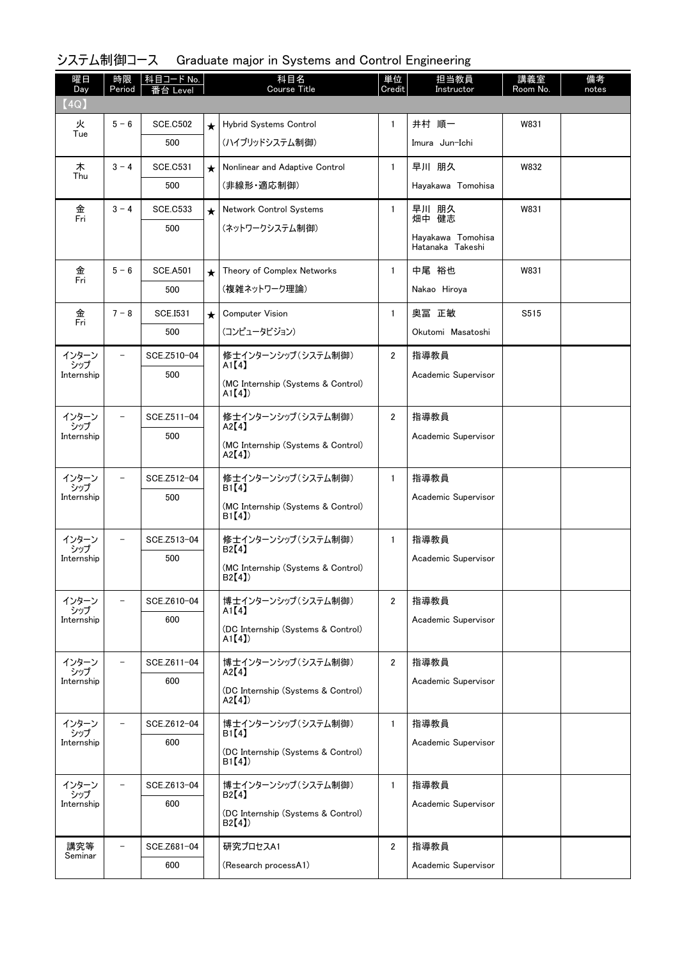| 曜日<br>Day            | 時限<br>Period             | 科目コード No.<br>Leve |         | 科目名<br><b>Course Title</b>                  | 単位<br>Credit   | 担当教員<br>Instructor                    | 講義室<br>Room No. | 備考<br>notes |
|----------------------|--------------------------|-------------------|---------|---------------------------------------------|----------------|---------------------------------------|-----------------|-------------|
| (4Q)                 |                          |                   |         |                                             |                |                                       |                 |             |
| 火                    | $5 - 6$                  | <b>SCE.C502</b>   | $\star$ | <b>Hybrid Systems Control</b>               | $\mathbf{1}$   | 井村 順一                                 | W831            |             |
| Tue                  |                          | 500               |         | (ハイブリッドシステム制御)                              |                | Imura Jun-Ichi                        |                 |             |
| 木                    | $3 - 4$                  | <b>SCE.C531</b>   | $\star$ | Nonlinear and Adaptive Control              | $\mathbf{1}$   | 早川 朋久                                 | W832            |             |
| Thu                  |                          | 500               |         | (非線形・適応制御)                                  |                | Hayakawa Tomohisa                     |                 |             |
| 金<br>Fri             | $3 - 4$                  | <b>SCE.C533</b>   | $\star$ | <b>Network Control Systems</b>              | $\mathbf{1}$   | 早川 朋久<br>畑中 健志                        | W831            |             |
|                      |                          | 500               |         | (ネットワークシステム制御)                              |                | Hayakawa Tomohisa<br>Hatanaka Takeshi |                 |             |
| 金                    | $5 - 6$                  | <b>SCE.A501</b>   | $\star$ | Theory of Complex Networks                  | $\mathbf{1}$   | 中尾 裕也                                 | W831            |             |
| Fri                  |                          | 500               |         | (複雑ネットワーク理論)                                |                | Nakao Hiroya                          |                 |             |
| 金<br>Fri             | $7 - 8$                  | <b>SCE.I531</b>   | $\star$ | <b>Computer Vision</b>                      | $\mathbf{1}$   | 奥冨 正敏                                 | S515            |             |
|                      |                          | 500               |         | (コンピュータビジョン)                                |                | Okutomi Masatoshi                     |                 |             |
| インターン<br>シップ         |                          | SCE.Z510-04       |         | 修士インターンシップ(システム制御)<br>AI[4]                 | $\overline{2}$ | 指導教員                                  |                 |             |
| Internship           |                          | 500               |         | (MC Internship (Systems & Control)          |                | Academic Supervisor                   |                 |             |
|                      |                          |                   |         | A1[4]                                       |                |                                       |                 |             |
| インターン<br>・シップ        | $\overline{\phantom{0}}$ | SCE.Z511-04       |         | 修士インターンシップ(システム制御)<br>A2[4]                 | $\overline{2}$ | 指導教員                                  |                 |             |
| Internship           |                          | 500               |         | (MC Internship (Systems & Control)          |                | Academic Supervisor                   |                 |             |
|                      |                          |                   |         | A2[4]                                       |                |                                       |                 |             |
| インターン<br>م<br>مراران |                          | SCE.Z512-04       |         | 修士インターンシップ (システム制御)<br>B1[4]                | $\mathbf{1}$   | 指導教員                                  |                 |             |
| Internship           |                          | 500               |         | (MC Internship (Systems & Control)<br>B1(4) |                | Academic Supervisor                   |                 |             |
| インターン<br>・シップ        |                          | SCE.Z513-04       |         | 修士インターンシップ(システム制御)<br>B2[4]                 | $\mathbf{1}$   | 指導教員                                  |                 |             |
| Internship           |                          | 500               |         | (MC Internship (Systems & Control)          |                | Academic Supervisor                   |                 |             |
|                      |                          |                   |         | B2[4]                                       |                |                                       |                 |             |
| インターン<br>シップ         |                          | SCE.Z610-04       |         | 博士インターンシップ(システム制御)<br>AI(4)                 | $\overline{2}$ | 指導教員                                  |                 |             |
| Internship           |                          | 600               |         | (DC Internship (Systems & Control)          |                | Academic Supervisor                   |                 |             |
|                      |                          |                   |         | A1[4]                                       |                |                                       |                 |             |
| インターン<br>シップ         | $\overline{\phantom{0}}$ | SCE.Z611-04       |         | 博士インターンシップ(システム制御)<br>A2[4]                 | $\overline{2}$ | 指導教員                                  |                 |             |
| Internship           |                          | 600               |         | (DC Internship (Systems & Control)          |                | Academic Supervisor                   |                 |             |
|                      |                          |                   |         | A2[4]                                       |                |                                       |                 |             |
| インターン<br>シップ         | $\overline{a}$           | SCE.Z612-04       |         | 博士インターンシップ(システム制御)<br>B1[4]                 | $\mathbf{1}$   | 指導教員                                  |                 |             |
| Internship           |                          | 600               |         | (DC Internship (Systems & Control)          |                | Academic Supervisor                   |                 |             |
|                      |                          |                   |         | B1(4)                                       |                |                                       |                 |             |
| インターン<br>シップ         | $\equiv$                 | SCE.Z613-04       |         | 博士インターンシップ(システム制御)<br>B2[4]                 | $\mathbf{1}$   | 指導教員                                  |                 |             |
| Internship           |                          | 600               |         | (DC Internship (Systems & Control)<br>B2[4] |                | Academic Supervisor                   |                 |             |
| 講究等                  | -                        | SCE.Z681-04       |         | 研究プロセスA1                                    | $\overline{2}$ | 指導教員                                  |                 |             |
| Seminar              |                          | 600               |         | (Research processA1)                        |                | Academic Supervisor                   |                 |             |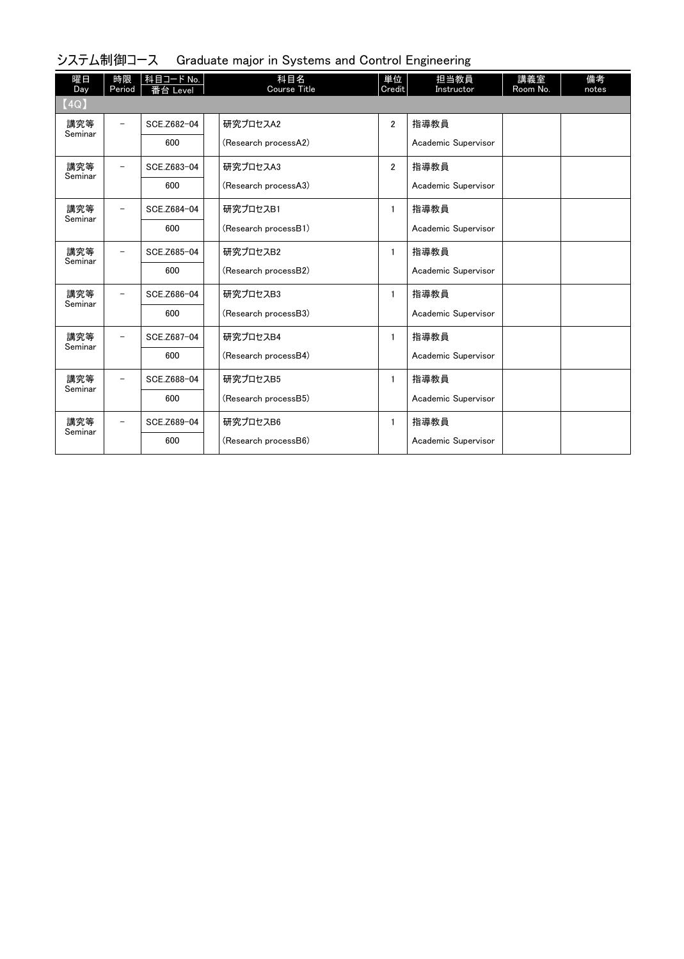| 曜日<br>Day      | 時限<br>Period             | 科目コード No.<br>番台 Level | 科目名<br>Course Title  | 単位<br>Credit   | 担当教員<br>Instructor  | 講義室<br>Room No. | 備考<br>notes |
|----------------|--------------------------|-----------------------|----------------------|----------------|---------------------|-----------------|-------------|
| [4Q]           |                          |                       |                      |                |                     |                 |             |
| 講究等<br>Seminar | $\overline{\phantom{0}}$ | SCE.Z682-04           | 研究プロセスA2             | $\overline{2}$ | 指導教員                |                 |             |
|                |                          | 600                   | (Research processA2) |                | Academic Supervisor |                 |             |
| 講究等<br>Seminar | $\overline{\phantom{0}}$ | SCE.Z683-04           | 研究プロセスA3             | $\overline{2}$ | 指導教員                |                 |             |
|                |                          | 600                   | (Research processA3) |                | Academic Supervisor |                 |             |
| 講究等<br>Seminar | $\overline{\phantom{0}}$ | SCE.Z684-04           | 研究プロセスB1             | $\mathbf{1}$   | 指導教員                |                 |             |
|                |                          | 600                   | (Research processB1) |                | Academic Supervisor |                 |             |
| 講究等<br>Seminar |                          | SCE.Z685-04           | 研究プロセスB2             | $\mathbf{1}$   | 指導教員                |                 |             |
|                |                          | 600                   | (Research processB2) |                | Academic Supervisor |                 |             |
| 講究等<br>Seminar | $\overline{\phantom{0}}$ | SCE.Z686-04           | 研究プロセスB3             | $\mathbf{1}$   | 指導教員                |                 |             |
|                |                          | 600                   | (Research processB3) |                | Academic Supervisor |                 |             |
| 講究等<br>Seminar | $\overline{\phantom{0}}$ | SCE.Z687-04           | 研究プロセスB4             | $\mathbf{1}$   | 指導教員                |                 |             |
|                |                          | 600                   | (Research processB4) |                | Academic Supervisor |                 |             |
| 講究等<br>Seminar | $\overline{\phantom{0}}$ | SCE.Z688-04           | 研究プロセスB5             | $\mathbf{1}$   | 指導教員                |                 |             |
|                |                          | 600                   | (Research processB5) |                | Academic Supervisor |                 |             |
| 講究等<br>Seminar | -                        | SCE.Z689-04           | 研究プロセスB6             | 1              | 指導教員                |                 |             |
|                |                          | 600                   | (Research processB6) |                | Academic Supervisor |                 |             |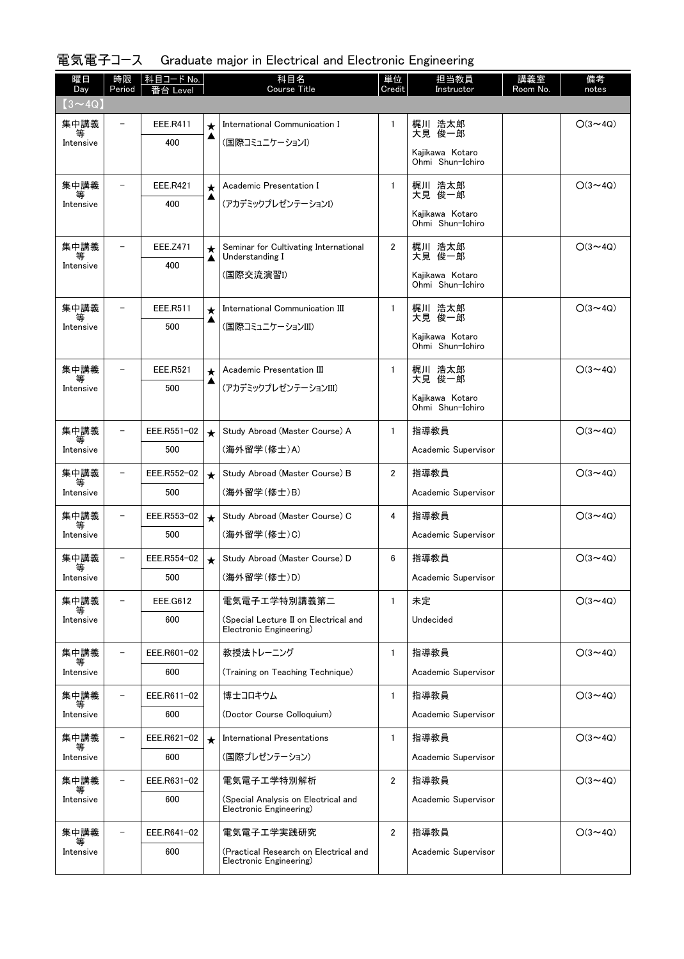| 曜日<br>Day         | 時限<br>Period             | 科目コード No.<br>台 Level |         | 科目名<br><b>Course Title</b>                                       | 単位<br>Credit   | 担当教員<br>Instructor                  | 講義室<br>Room No. | 備考<br>notes    |
|-------------------|--------------------------|----------------------|---------|------------------------------------------------------------------|----------------|-------------------------------------|-----------------|----------------|
| $(3 \sim 4Q)$     |                          |                      |         |                                                                  |                |                                     |                 |                |
| 集中講義              |                          | EEE.R411             | $\star$ | International Communication I                                    | $\mathbf{1}$   | 梶川 浩太郎<br>大見 俊一郎                    |                 | $O(3 \sim 4Q)$ |
| Intensive         |                          | 400                  |         | (国際コミュニケーションI)                                                   |                | Kaiikawa Kotaro                     |                 |                |
|                   |                          |                      |         |                                                                  |                | Ohmi Shun-Ichiro                    |                 |                |
| 集中講義              |                          | <b>EEE.R421</b>      | $\star$ | Academic Presentation I                                          | $\mathbf{1}$   | 梶川 浩太郎<br>大見 俊一郎                    |                 | $O(3 \sim 4Q)$ |
| Intensive         |                          | 400                  |         | (アカデミックプレゼンテーションI)                                               |                | Kajikawa Kotaro                     |                 |                |
|                   |                          |                      |         |                                                                  |                | Ohmi Shun-Ichiro                    |                 |                |
| 集中講義<br>等         |                          | EEE.Z471             | $\star$ | Seminar for Cultivating International<br>Understanding I         | $\mathbf{2}$   | 梶川 浩太郎<br>大見 俊一郎                    |                 | $O(3 \sim 4Q)$ |
| Intensive         |                          | 400                  |         | (国際交流演習I)                                                        |                | Kajikawa Kotaro<br>Ohmi Shun-Ichiro |                 |                |
|                   |                          |                      |         |                                                                  |                |                                     |                 | $O(3 \sim 4Q)$ |
| 集中講義<br>Intensive |                          | EEE.R511<br>500      | ★<br>▲  | International Communication III<br>(国際コミュニケーションIII)              | $\mathbf{1}$   | 梶川 浩太郎<br>大見 俊一郎                    |                 |                |
|                   |                          |                      |         |                                                                  |                | Kajikawa Kotaro<br>Ohmi Shun-Ichiro |                 |                |
| 集中講義              |                          | <b>EEE.R521</b>      | $\star$ | Academic Presentation III                                        | $\mathbf{1}$   | 梶川 浩太郎<br>大見 俊一郎                    |                 | $O(3 \sim 4Q)$ |
| Intensive         |                          | 500                  |         | (アカデミックプレゼンテーションIII)                                             |                | Kajikawa Kotaro                     |                 |                |
|                   |                          |                      |         |                                                                  |                | Ohmi Shun-Ichiro                    |                 |                |
| 集中講義              | $\overline{\phantom{0}}$ | EEE.R551-02          | $\star$ | Study Abroad (Master Course) A                                   | $\mathbf{1}$   | 指導教員                                |                 | $O(3 \sim 4Q)$ |
| Intensive         |                          | 500                  |         | (海外留学(修士)A)                                                      |                | Academic Supervisor                 |                 |                |
| 集中講義              |                          | EEE.R552-02          | $\star$ | Study Abroad (Master Course) B                                   | $\overline{2}$ | 指導教員                                |                 | $O(3 \sim 4Q)$ |
| Intensive         |                          | 500                  |         | (海外留学(修士)B)                                                      |                | Academic Supervisor                 |                 |                |
| 集中講義              |                          | EEE.R553-02          | $\star$ | Study Abroad (Master Course) C                                   | 4              | 指導教員                                |                 | $O(3 \sim 4Q)$ |
| Intensive         |                          | 500                  |         | (海外留学(修士)C)                                                      |                | Academic Supervisor                 |                 |                |
| 集中講義<br>等         | $\overline{\phantom{0}}$ | EEE.R554-02          | $\star$ | Study Abroad (Master Course) D                                   | 6              | 指導教員                                |                 | $O(3 \sim 4Q)$ |
| Intensive         |                          | 500                  |         | (海外留学(修士)D)                                                      |                | Academic Supervisor                 |                 |                |
| 集中講義              |                          | EEE.G612             |         | 電気電子工学特別講義第二                                                     | $\mathbf{1}$   | 未定                                  |                 | $O(3 \sim 4Q)$ |
| Intensive         |                          | 600                  |         | (Special Lecture II on Electrical and<br>Electronic Engineering) |                | Undecided                           |                 |                |
| 集中講義              |                          | EEE.R601-02          |         | 教授法トレーニング                                                        | $\mathbf{1}$   | 指導教員                                |                 | $O(3 \sim 4Q)$ |
| Intensive         |                          | 600                  |         | (Training on Teaching Technique)                                 |                | Academic Supervisor                 |                 |                |
| 集中講義<br>等         | $\overline{\phantom{0}}$ | EEE.R611-02          |         | 博士コロキウム                                                          | $\mathbf{1}$   | 指導教員                                |                 | $O(3 \sim 4Q)$ |
| Intensive         |                          | 600                  |         | (Doctor Course Colloquium)                                       |                | Academic Supervisor                 |                 |                |
| 集中講義              | $\overline{\phantom{m}}$ | EEE.R621-02          | $\star$ | <b>International Presentations</b>                               | $\mathbf{1}$   | 指導教員                                |                 | $O(3 \sim 4Q)$ |
| Intensive         |                          | 600                  |         | (国際プレゼンテーション)                                                    |                | Academic Supervisor                 |                 |                |
| 集中講義              |                          | EEE.R631-02          |         | 電気電子工学特別解析                                                       | $\overline{2}$ | 指導教員                                |                 | $O(3 \sim 4Q)$ |
| Intensive         |                          | 600                  |         | (Special Analysis on Electrical and<br>Electronic Engineering)   |                | Academic Supervisor                 |                 |                |
| 集中講義              | $\overline{\phantom{m}}$ | EEE.R641-02          |         | 電気電子工学実践研究                                                       | $\overline{2}$ | 指導教員                                |                 | $O(3 \sim 4Q)$ |
| 等<br>Intensive    |                          | 600                  |         | (Practical Research on Electrical and<br>Electronic Engineering) |                | Academic Supervisor                 |                 |                |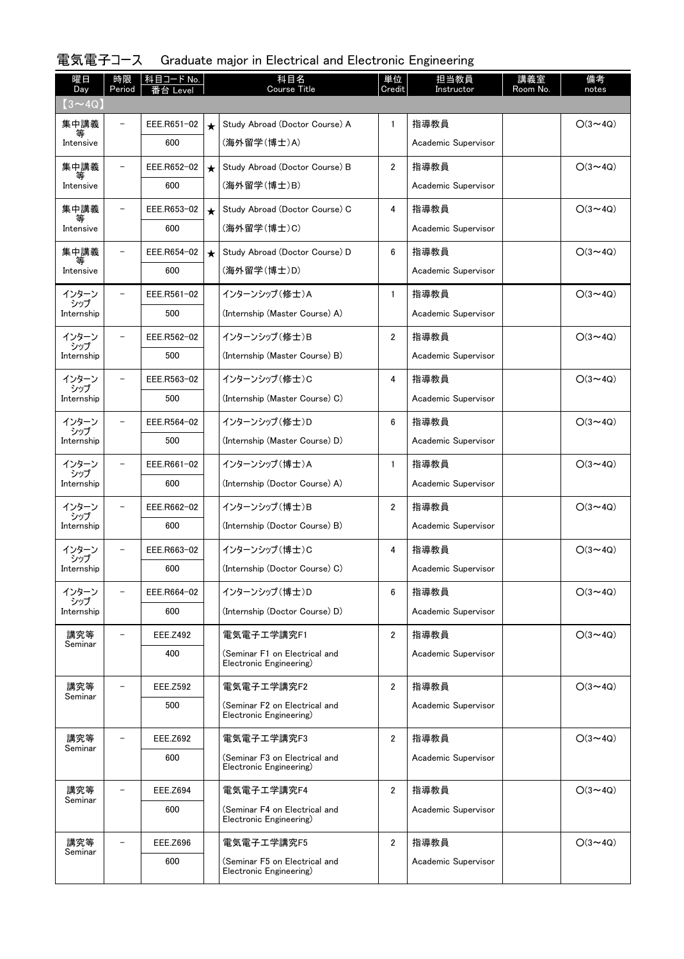| 曜日<br>Day         | 時限<br>Period             | 科目コード No.<br>番台 Level |         | 科目名<br><b>Course Title</b>                               | 単位<br>Credit   | 担当教員<br>Instructor  | 講義室<br>Room No. | 備考<br>notes    |
|-------------------|--------------------------|-----------------------|---------|----------------------------------------------------------|----------------|---------------------|-----------------|----------------|
| $(3 \sim 4Q)$     |                          |                       |         |                                                          |                |                     |                 |                |
| 集中講義              |                          | EEE.R651-02           | $\star$ | Study Abroad (Doctor Course) A                           | 1              | 指導教員                |                 | $O(3 \sim 4Q)$ |
| Intensive         |                          | 600                   |         | (海外留学(博士)A)                                              |                | Academic Supervisor |                 |                |
| 集中講義<br>等         | $\overline{\phantom{0}}$ | EEE.R652-02           | $\star$ | Study Abroad (Doctor Course) B                           | $\overline{2}$ | 指導教員                |                 | $O(3 \sim 4Q)$ |
| Intensive         |                          | 600                   |         | (海外留学(博士)B)                                              |                | Academic Supervisor |                 |                |
| 集中講義              | $\overline{\phantom{0}}$ | EEE.R653-02           | $\star$ | Study Abroad (Doctor Course) C                           | 4              | 指導教員                |                 | $O(3 \sim 4Q)$ |
| 等<br>Intensive    |                          | 600                   |         | (海外留学(博士)C)                                              |                | Academic Supervisor |                 |                |
| 集中講義              | $\equiv$                 | EEE.R654-02           | $\star$ | Study Abroad (Doctor Course) D                           | 6              | 指導教員                |                 | $O(3 \sim 4Q)$ |
| 等<br>Intensive    |                          | 600                   |         | (海外留学(博士)D)                                              |                | Academic Supervisor |                 |                |
| インターン<br>- シップ    |                          | EEE.R561-02           |         | インターンシップ (修士)A                                           | $\mathbf{1}$   | 指導教員                |                 | $O(3 \sim 4Q)$ |
| Internship        |                          | 500                   |         | (Internship (Master Course) A)                           |                | Academic Supervisor |                 |                |
| インターン             |                          | EEE.R562-02           |         | インターンシップ(修士)B                                            | $\overline{2}$ | 指導教員                |                 | $O(3 \sim 4Q)$ |
| シップ<br>Internship |                          | 500                   |         | (Internship (Master Course) B)                           |                | Academic Supervisor |                 |                |
| インターン             | -                        | EEE.R563-02           |         | インターンシップ (修士)C                                           | 4              | 指導教員                |                 | $O(3 \sim 4Q)$ |
| シップ<br>Internship |                          | 500                   |         | (Internship (Master Course) C)                           |                | Academic Supervisor |                 |                |
| インターン             | $\overline{\phantom{0}}$ | EEE.R564-02           |         | インターンシップ (修士)D                                           | 6              | 指導教員                |                 | $O(3 \sim 4Q)$ |
| シップ<br>Internship |                          | 500                   |         | (Internship (Master Course) D)                           |                | Academic Supervisor |                 |                |
| インターン             |                          | EEE.R661-02           |         | インターンシップ (博士)A                                           | $\mathbf{1}$   | 指導教員                |                 | $O(3 \sim 4Q)$ |
| シップ<br>Internship |                          | 600                   |         | (Internship (Doctor Course) A)                           |                | Academic Supervisor |                 |                |
| インターン             |                          | EEE.R662-02           |         | インターンシップ (博士)B                                           | $\overline{2}$ | 指導教員                |                 | $O(3 \sim 4Q)$ |
| シップ<br>Internship |                          | 600                   |         | (Internship (Doctor Course) B)                           |                | Academic Supervisor |                 |                |
| インターン<br>シップ      |                          | EEE.R663-02           |         | インターンシップ (博士)C                                           | 4              | 指導教員                |                 | $O(3 \sim 4Q)$ |
| Internship        |                          | 600                   |         | (Internship (Doctor Course) C)                           |                | Academic Supervisor |                 |                |
| インターン             |                          | EEE.R664-02           |         | インターンシップ (博士)D                                           | 6              | 指導教員                |                 | $O(3 \sim 4Q)$ |
| シップ<br>Internship |                          | 600                   |         | (Internship (Doctor Course) D)                           |                | Academic Supervisor |                 |                |
| 講究等               |                          | <b>EEE.Z492</b>       |         | 電気電子工学講究F1                                               | $\mathbf{2}$   | 指導教員                |                 | $O(3 \sim 4Q)$ |
| Seminar           |                          | 400                   |         | (Seminar F1 on Electrical and<br>Electronic Engineering) |                | Academic Supervisor |                 |                |
| 講究等               |                          | EEE.Z592              |         | 電気電子工学講究F2                                               | $\mathbf{2}$   | 指導教員                |                 | $O(3 \sim 4Q)$ |
| Seminar           |                          | 500                   |         | (Seminar F2 on Electrical and                            |                | Academic Supervisor |                 |                |
|                   |                          |                       |         | Electronic Engineering)                                  |                |                     |                 |                |
| 講究等<br>Seminar    |                          | EEE.Z692              |         | 電気電子工学講究F3                                               | $\overline{2}$ | 指導教員                |                 | $O(3 \sim 4Q)$ |
|                   |                          | 600                   |         | (Seminar F3 on Electrical and<br>Electronic Engineering) |                | Academic Supervisor |                 |                |
| 講究等               | $\overline{\phantom{0}}$ | <b>EEE.Z694</b>       |         | 電気電子工学講究F4                                               | $\overline{2}$ | 指導教員                |                 | $O(3 \sim 4Q)$ |
| Seminar           |                          | 600                   |         | (Seminar F4 on Electrical and<br>Electronic Engineering) |                | Academic Supervisor |                 |                |
| 講究等<br>Seminar    |                          | EEE.Z696              |         | 電気電子工学講究F5                                               | $\overline{2}$ | 指導教員                |                 | $O(3 \sim 4Q)$ |
|                   |                          | 600                   |         | (Seminar F5 on Electrical and<br>Electronic Engineering) |                | Academic Supervisor |                 |                |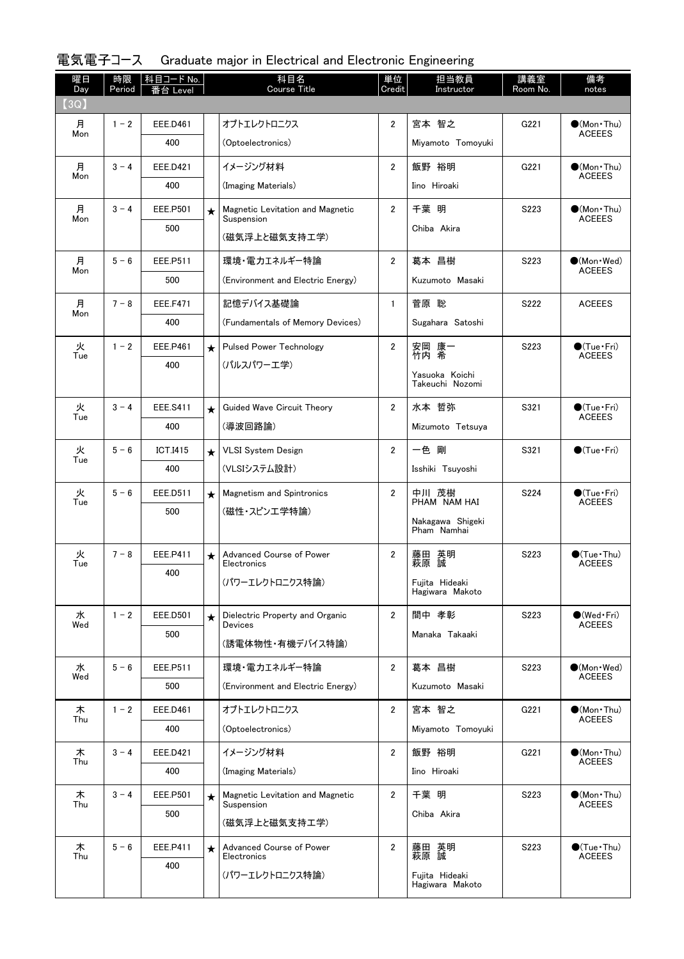| 電気電子コース Graduate major in Electrical and Electronic Engineering |  |  |  |  |  |  |  |
|-----------------------------------------------------------------|--|--|--|--|--|--|--|
|-----------------------------------------------------------------|--|--|--|--|--|--|--|

| 曜日<br>Day | 時限<br>Period | │科目コード No.<br>≸台 Level |         | 科目名<br><b>Course Title</b>                        | 単位<br>Credit   | 担当教員<br>Instructor                | 講義室<br>Room No. | 備考<br>notes                             |
|-----------|--------------|------------------------|---------|---------------------------------------------------|----------------|-----------------------------------|-----------------|-----------------------------------------|
| (3Q)      |              |                        |         |                                                   |                |                                   |                 |                                         |
| 月<br>Mon  | $1 - 2$      | <b>EEE.D461</b>        |         | オプトエレクトロニクス                                       | $\overline{2}$ | 宮本 智之                             | G221            | $\bullet$ (Mon • Thu)<br><b>ACEEES</b>  |
|           |              | 400                    |         | (Optoelectronics)                                 |                | Miyamoto Tomoyuki                 |                 |                                         |
| 月         | $3 - 4$      | EEE.D421               |         | イメージング材料                                          | $\overline{2}$ | 飯野 裕明                             | G221            | $\bigcirc$ (Mon $\cdot$ Thu)            |
| Mon       |              | 400                    |         | (Imaging Materials)                               |                | Iino Hiroaki                      |                 | <b>ACEEES</b>                           |
| 月         | $3 - 4$      | EEE.P501               | $\star$ | Magnetic Levitation and Magnetic                  | $\overline{2}$ | 千葉 明                              | S223            | $\bullet$ (Mon • Thu)                   |
| Mon       |              | 500                    |         | Suspension<br>(磁気浮上と磁気支持工学)                       |                | Chiba Akira                       |                 | <b>ACEEES</b>                           |
| 月         | $5 - 6$      | EEE.P511               |         | 環境・電力エネルギー特論                                      | $\overline{2}$ | 葛本 昌樹                             | S223            | $\bullet$ (Mon Wed)                     |
| Mon       |              | 500                    |         | (Environment and Electric Energy)                 |                | Kuzumoto Masaki                   |                 | <b>ACEEES</b>                           |
| 月         | $7 - 8$      | <b>EEE.F471</b>        |         | 記憶デバイス基礎論                                         | $\mathbf{1}$   | 菅原 聡                              | S222            | <b>ACEEES</b>                           |
| Mon       |              | 400                    |         | (Fundamentals of Memory Devices)                  |                | Sugahara Satoshi                  |                 |                                         |
| 火         | $1 - 2$      | EEE.P461               | $\star$ | <b>Pulsed Power Technology</b>                    | $\overline{2}$ | 安岡 康一<br>竹内 希                     | S223            | $\bigcirc$ (Tue $\cdot$ Fri)            |
| Tue       |              | 400                    |         | (パルスパワーエ学)                                        |                | Yasuoka Koichi                    |                 | <b>ACEEES</b>                           |
|           |              |                        |         |                                                   |                | Takeuchi Nozomi                   |                 |                                         |
| 火         | $3 - 4$      | <b>EEE.S411</b>        | $\star$ | Guided Wave Circuit Theory                        | $\overline{2}$ | 水本 哲弥                             | S321            | $\bigcirc$ (Tue · Fri)                  |
| Tue       |              | 400                    |         | (導波回路論)                                           |                | Mizumoto Tetsuya                  |                 | <b>ACEEES</b>                           |
| 火<br>Tue  | $5 - 6$      | ICT.I415               | $\star$ | <b>VLSI System Design</b>                         | $\overline{2}$ | 一色 剛                              | S321            | $\bigcirc$ (Tue · Fri)                  |
|           |              | 400                    |         | (VLSIシステム設計)                                      |                | Isshiki Tsuyoshi                  |                 |                                         |
| 火<br>Tue  | $5 - 6$      | EEE.D511               | $\star$ | Magnetism and Spintronics                         | $\overline{2}$ | 中川 茂樹<br>PHAM NAM HAI             | S224            | $\bigcirc$ (Tue•Fri)<br><b>ACEEES</b>   |
|           |              | 500                    |         | (磁性・スピンエ学特論)                                      |                | Nakagawa Shigeki                  |                 |                                         |
|           |              |                        |         |                                                   |                | Pham Namhai                       |                 |                                         |
| 火<br>Tue  | $7 - 8$      | EEE.P411               | $\star$ | Advanced Course of Power<br>Electronics           | 2              | 藤田 英明<br>萩原 誠                     | S223            | $\bullet$ (Tue · Thu)<br><b>ACEEES</b>  |
|           |              | 400                    |         | (パワーエレクトロニクス特論)                                   |                | Fujita Hideaki                    |                 |                                         |
|           |              |                        |         |                                                   |                | Hagiwara Makoto                   |                 |                                         |
| 水<br>Wed  | $1 - 2$      | <b>EEE.D501</b>        | $\star$ | Dielectric Property and Organic<br><b>Devices</b> | $\overline{2}$ | 間中 孝彰                             | S223            | $\bigcirc$ (Wed•Fri)<br><b>ACEEES</b>   |
|           |              | 500                    |         | (誘電体物性・有機デバイス特論)                                  |                | Manaka Takaaki                    |                 |                                         |
| 水         | $5 - 6$      | EEE.P511               |         | 環境・電力エネルギー特論                                      | $\overline{2}$ | 葛本 昌樹                             | S223            | $\bullet$ (Mon•Wed)                     |
| Wed       |              | 500                    |         | (Environment and Electric Energy)                 |                | Kuzumoto Masaki                   |                 | <b>ACEEES</b>                           |
| 木         | $1 - 2$      | EEE.D461               |         | オプトエレクトロニクス                                       | $\overline{2}$ | 宮本 智之                             | G221            | $\bullet$ (Mon · Thu)                   |
| Thu       |              | 400                    |         | (Optoelectronics)                                 |                | Miyamoto Tomoyuki                 |                 | <b>ACEEES</b>                           |
| 木         | $3 - 4$      | EEE.D421               |         | イメージング材料                                          | $\overline{2}$ | 飯野 裕明                             | G221            | $\bullet$ (Mon · Thu)                   |
| Thu       |              | 400                    |         | (Imaging Materials)                               |                | Iino Hiroaki                      |                 | <b>ACEEES</b>                           |
| 木         | $3 - 4$      | EEE.P501               | $\star$ | Magnetic Levitation and Magnetic                  | $\overline{2}$ | 千葉 明                              | S223            | $\bullet$ (Mon • Thu)                   |
| Thu       |              | 500                    |         | Suspension                                        |                | Chiba Akira                       |                 | <b>ACEEES</b>                           |
|           |              |                        |         | (磁気浮上と磁気支持工学)                                     |                |                                   |                 |                                         |
| 木<br>Thu  | $5 - 6$      | EEE.P411               | $\star$ | Advanced Course of Power<br>Electronics           | $\overline{2}$ | 藤田 英明<br>萩原 誠                     | S223            | $\bigcirc$ (Tue · Thu)<br><b>ACEEES</b> |
|           |              | 400                    |         | (パワーエレクトロニクス特論)                                   |                | Fujita Hideaki<br>Hagiwara Makoto |                 |                                         |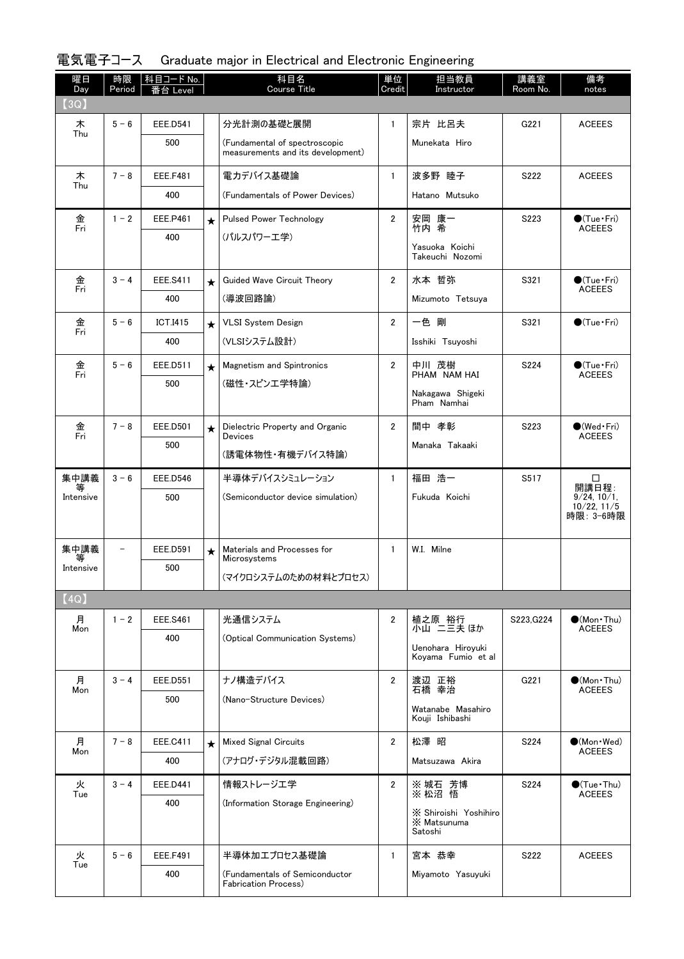| 曜日<br>Day | 時限<br>Period | 科目コード No.<br>番台 Level |         | 科目名<br><b>Course Title</b>                                         | 単位<br>Credit   | 担当教員<br>Instructor                      | 講義室<br>Room No.  | 備考<br>notes                                   |
|-----------|--------------|-----------------------|---------|--------------------------------------------------------------------|----------------|-----------------------------------------|------------------|-----------------------------------------------|
| (3Q)      |              |                       |         |                                                                    |                |                                         |                  |                                               |
| 木<br>Thu  | $5 - 6$      | <b>EEE.D541</b>       |         | 分光計測の基礎と展開                                                         | $\mathbf{1}$   | 宗片 比呂夫                                  | G <sub>221</sub> | <b>ACEEES</b>                                 |
|           |              | 500                   |         | (Fundamental of spectroscopic<br>measurements and its development) |                | Munekata Hiro                           |                  |                                               |
| 木<br>Thu  | $7 - 8$      | <b>EEE.F481</b>       |         | 電力デバイス基礎論                                                          | $\mathbf{1}$   | 波多野 睦子                                  | S222             | <b>ACEEES</b>                                 |
|           |              | 400                   |         | (Fundamentals of Power Devices)                                    |                | Hatano Mutsuko                          |                  |                                               |
| 金<br>Fri  | $1 - 2$      | <b>EEE.P461</b>       | $\star$ | <b>Pulsed Power Technology</b>                                     | $\overline{2}$ | 安岡 康一<br>竹内 希                           | S223             | $\bullet$ (Tue · Fri)<br><b>ACEEES</b>        |
|           |              | 400                   |         | (パルスパワーエ学)                                                         |                | Yasuoka Koichi<br>Takeuchi Nozomi       |                  |                                               |
| 金         | $3 - 4$      | <b>EEE.S411</b>       | $\star$ | Guided Wave Circuit Theory                                         | $\overline{2}$ | 水本 哲弥                                   | S321             | $\bullet$ (Tue Fri)                           |
| Fri       |              | 400                   |         | (導波回路論)                                                            |                | Mizumoto Tetsuya                        |                  | <b>ACEEES</b>                                 |
| 金<br>Fri  | $5 - 6$      | ICT.I415              | $\star$ | <b>VLSI System Design</b>                                          | $\overline{2}$ | 一色 剛                                    | S321             | $\bigcirc$ (Tue $\cdot$ Fri)                  |
|           |              | 400                   |         | (VLSIシステム設計)                                                       |                | Isshiki Tsuyoshi                        |                  |                                               |
| 金<br>Fri  | $5 - 6$      | EEE.D511              | $\star$ | <b>Magnetism and Spintronics</b>                                   | $\overline{2}$ | 中川 茂樹<br>PHAM NAM HAI                   | S224             | $\bullet$ (Tue•Fri)<br><b>ACEEES</b>          |
|           |              | 500                   |         | (磁性・スピンエ学特論)                                                       |                | Nakagawa Shigeki                        |                  |                                               |
|           |              |                       |         |                                                                    |                | Pham Namhai                             |                  |                                               |
| 金<br>Fri  | $7 - 8$      | <b>EEE.D501</b>       | $\star$ | Dielectric Property and Organic<br><b>Devices</b>                  | $\overline{2}$ | 間中 孝彰                                   | S223             | $\bullet$ (Wed•Fri)<br><b>ACEEES</b>          |
|           |              | 500                   |         | (誘電体物性・有機デバイス特論)                                                   |                | Manaka Takaaki                          |                  |                                               |
| 集中講義<br>等 | $3 - 6$      | <b>EEE.D546</b>       |         | 半導体デバイスシミュレーション                                                    | $\mathbf{1}$   | 福田 浩一                                   | S517             | □<br>開講日程:                                    |
| Intensive |              | 500                   |         | (Semiconductor device simulation)                                  |                | Fukuda Koichi                           |                  | $9/24$ , $10/1$ ,<br>10/22, 11/5<br>時限: 3-6時限 |
| 集中講義      |              | <b>EEE.D591</b>       | $\star$ | Materials and Processes for<br>Microsystems                        | $\mathbf{1}$   | W.I. Milne                              |                  |                                               |
| Intensive |              | 500                   |         | (マイクロシステムのための材料とプロセス)                                              |                |                                         |                  |                                               |
| (4Q)      |              |                       |         |                                                                    |                |                                         |                  |                                               |
| 月         | $1 - 2$      | <b>EEE.S461</b>       |         | 光通信システム                                                            | 2              | 植之原 裕行<br>小山 ニ三夫 ほか                     | S223, G224       | $\bigcirc$ (Mon Thu)                          |
| Mon       |              | 400                   |         | (Optical Communication Systems)                                    |                |                                         |                  | <b>ACEEES</b>                                 |
|           |              |                       |         |                                                                    |                | Uenohara Hiroyuki<br>Koyama Fumio et al |                  |                                               |
| 月<br>Mon  | $3 - 4$      | <b>EEE.D551</b>       |         | ナノ構造デバイス                                                           | 2              | 渡辺 正裕<br>石橋 幸治                          | G221             | $\bullet$ (Mon $\cdot$ Thu)<br><b>ACEEES</b>  |
|           |              | 500                   |         | (Nano-Structure Devices)                                           |                | Watanabe Masahiro<br>Kouji Ishibashi    |                  |                                               |
| 月         | $7 - 8$      | EEE.C411              | $\star$ | <b>Mixed Signal Circuits</b>                                       | 2              | 松澤 昭                                    | S224             | $\bullet$ (Mon Wed)                           |
| Mon       |              | 400                   |         | (アナログ・デジタル混載回路)                                                    |                | Matsuzawa Akira                         |                  | <b>ACEEES</b>                                 |
| 火         | $3 - 4$      | <b>EEE.D441</b>       |         | 情報ストレージエ学                                                          | $\mathbf{2}$   | ※ 城石   芳博<br>※ 松沼  悟                    | S224             | $\bullet$ (Tue · Thu)                         |
| Tue       |              | 400                   |         | (Information Storage Engineering)                                  |                | X Shiroishi Yoshihiro                   |                  | <b>ACEEES</b>                                 |
|           |              |                       |         |                                                                    |                | X Matsunuma<br>Satoshi                  |                  |                                               |
| 火<br>Tue  | $5 - 6$      | <b>EEE.F491</b>       |         | 半導体加エプロセス基礎論                                                       | $\mathbf{1}$   | 宮本 恭幸                                   | S222             | <b>ACEEES</b>                                 |
|           |              | 400                   |         | (Fundamentals of Semiconductor<br>Fabrication Process)             |                | Miyamoto Yasuyuki                       |                  |                                               |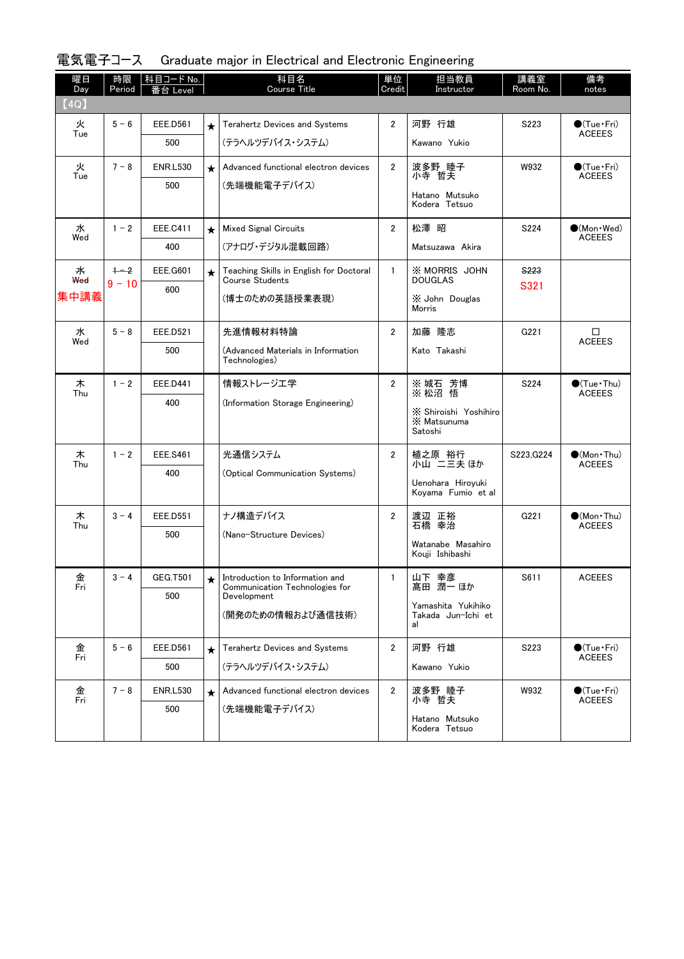| 曜日<br>Day | 時限<br>Period | 科目コード No.<br>番台 Level |         | 科目名<br>Course Title                                               | 単位<br>Credit   | 担当教員<br>Instructor                     | 講義室<br>Room No.  | 備考<br>notes                                   |
|-----------|--------------|-----------------------|---------|-------------------------------------------------------------------|----------------|----------------------------------------|------------------|-----------------------------------------------|
| (4Q)      |              |                       |         |                                                                   |                |                                        |                  |                                               |
| 火<br>Tue  | $5 - 6$      | <b>EEE.D561</b>       | $\star$ | Terahertz Devices and Systems                                     | $\overline{2}$ | 河野 行雄                                  | S223             | $\bigcirc$ (Tue•Fri)<br><b>ACEEES</b>         |
|           |              | 500                   |         | (テラヘルツデバイス・システム)                                                  |                | Kawano Yukio                           |                  |                                               |
| 火<br>Tue  | $7 - 8$      | <b>ENR.L530</b>       | $\star$ | Advanced functional electron devices                              | $\overline{2}$ | 波多野 睦子<br>小寺 哲夫                        | W932             | $\bullet$ (Tue•Fri)<br><b>ACEEES</b>          |
|           |              | 500                   |         | (先端機能電子デバイス)                                                      |                | Hatano Mutsuko                         |                  |                                               |
|           |              |                       |         |                                                                   |                | Kodera Tetsuo                          |                  |                                               |
| 水<br>Wed  | $1 - 2$      | <b>EEE.C411</b>       | $\star$ | <b>Mixed Signal Circuits</b>                                      | $\overline{2}$ | 松澤 昭                                   | S224             | $\bullet$ (Mon · Wed)<br><b>ACEEES</b>        |
|           |              | 400                   |         | (アナログ・デジタル混載回路)                                                   |                | Matsuzawa Akira                        |                  |                                               |
| 来<br>Wed  | $+2$         | <b>EEE.G601</b>       | $\star$ | Teaching Skills in English for Doctoral<br><b>Course Students</b> | $\mathbf{1}$   | <b>X MORRIS JOHN</b><br><b>DOUGLAS</b> | S <sub>223</sub> |                                               |
| 集中講義      | $9 - 10$     | 600                   |         | (博士のための英語授業表現)                                                    |                | X John Douglas                         | S321             |                                               |
|           |              |                       |         |                                                                   |                | Morris                                 |                  |                                               |
| 水<br>Wed  | $5 - 8$      | <b>EEE.D521</b>       |         | 先進情報材料特論                                                          | $\overline{2}$ | 加藤 隆志                                  | G221             | □<br><b>ACEEES</b>                            |
|           |              | 500                   |         | (Advanced Materials in Information<br>Technologies)               |                | Kato Takashi                           |                  |                                               |
| 木<br>Thu  | $1 - 2$      | <b>EEE.D441</b>       |         | 情報ストレージエ学                                                         | $\overline{2}$ | ※ 城石   芳博<br>※ 松沼  悟                   | S224             | $\bigcirc$ (Tue · Thu)<br><b>ACEEES</b>       |
|           |              | 400                   |         | (Information Storage Engineering)                                 |                | X Shiroishi Yoshihiro                  |                  |                                               |
|           |              |                       |         |                                                                   |                | <b>X</b> Matsunuma<br>Satoshi          |                  |                                               |
| 木<br>Thu  | $1 - 2$      | <b>EEE.S461</b>       |         | 光通信システム                                                           | $\mathbf{2}$   | 植之原 裕行<br>小山 ニ三夫 ほか                    | S223, G224       | $\bullet$ (Mon•Thu)<br><b>ACEEES</b>          |
|           |              | 400                   |         | (Optical Communication Systems)                                   |                | Uenohara Hiroyuki                      |                  |                                               |
|           |              |                       |         |                                                                   |                | Koyama Fumio et al                     |                  |                                               |
| 木<br>Thu  | $3 - 4$      | <b>EEE.D551</b>       |         | ナノ構造デバイス                                                          | 2              | 渡辺 正裕<br>石橋 幸治                         | G221             | $\bullet$ (Mon · Thu)<br><b>ACEEES</b>        |
|           |              | 500                   |         | (Nano-Structure Devices)                                          |                | Watanabe Masahiro                      |                  |                                               |
|           |              |                       |         |                                                                   |                | Kouji Ishibashi                        |                  |                                               |
| 金<br>Fri  | $3 - 4$      | GEG.T501              |         | Introduction to Information and<br>Communication Technologies for | $\mathbf{1}$   | 山下 幸彦<br>髙田 潤一 ほか                      | S611             | <b>ACEEES</b>                                 |
|           |              | 500                   |         | Development                                                       |                | Yamashita Yukihiko                     |                  |                                               |
|           |              |                       |         | (開発のための情報および通信技術)                                                 |                | Takada Jun-Ichi et<br>al               |                  |                                               |
| 金<br>Fri  | $5 - 6$      | <b>EEE.D561</b>       | $\star$ | Terahertz Devices and Systems                                     | $\overline{2}$ | 河野 行雄                                  | S223             | $\bigcirc$ (Tue $\cdot$ Fri)<br><b>ACEEES</b> |
|           |              | 500                   |         | (テラヘルツデバイス・システム)                                                  |                | Kawano Yukio                           |                  |                                               |
| 金<br>Fri  | $7 - 8$      | <b>ENR.L530</b>       | $\star$ | Advanced functional electron devices                              | $\mathbf{2}$   | 波多野 睦子<br>小寺 哲夫                        | W932             | $\bullet$ (Tue $\cdot$ Fri)<br><b>ACEEES</b>  |
|           |              | 500                   |         | (先端機能電子デバイス)                                                      |                | Hatano Mutsuko                         |                  |                                               |
|           |              |                       |         |                                                                   |                | Kodera Tetsuo                          |                  |                                               |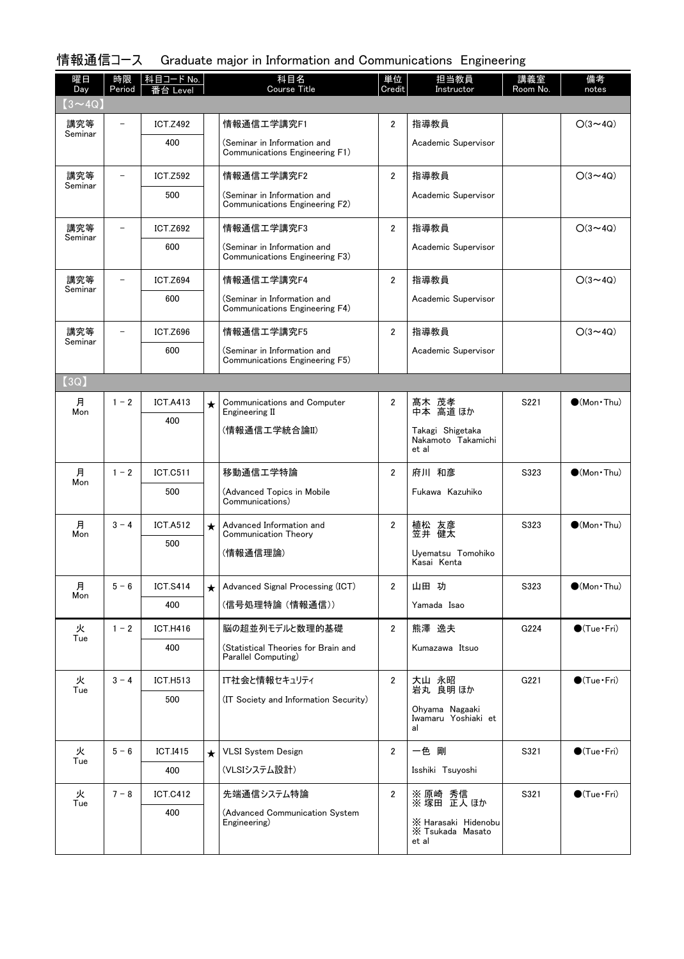# 情報通信コース Graduate major in Information and Communications Engineering

| 曜日<br>Day      | 時限<br>Period             | │科目コード No.<br>番台 Level |         | 科目名<br>Course Title                                           | 単位<br>Credit   | 担当教員<br>Instructor                                                       | 講義室<br>Room No. | 備考<br>notes            |
|----------------|--------------------------|------------------------|---------|---------------------------------------------------------------|----------------|--------------------------------------------------------------------------|-----------------|------------------------|
| $(3 \sim 40)$  |                          |                        |         |                                                               |                |                                                                          |                 |                        |
| 講究等<br>Seminar |                          | <b>ICT.Z492</b>        |         | 情報通信工学講究F1                                                    | $\overline{2}$ | 指導教員                                                                     |                 | $O(3 \sim 4Q)$         |
|                |                          | 400                    |         | (Seminar in Information and<br>Communications Engineering F1) |                | Academic Supervisor                                                      |                 |                        |
| 講究等            |                          | <b>ICT.Z592</b>        |         | 情報通信工学講究F2                                                    | $\overline{2}$ | 指導教員                                                                     |                 | $O(3 \sim 4Q)$         |
| Seminar        |                          | 500                    |         | (Seminar in Information and<br>Communications Engineering F2) |                | Academic Supervisor                                                      |                 |                        |
| 講究等<br>Seminar | $\overline{\phantom{0}}$ | <b>ICT.Z692</b>        |         | 情報通信工学講究F3                                                    | $\overline{2}$ | 指導教員                                                                     |                 | $O(3 \sim 4Q)$         |
|                |                          | 600                    |         | (Seminar in Information and<br>Communications Engineering F3) |                | Academic Supervisor                                                      |                 |                        |
| 講究等            |                          | <b>ICT.Z694</b>        |         | 情報通信工学講究F4                                                    | $\overline{2}$ | 指導教員                                                                     |                 | $O(3 \sim 4Q)$         |
| Seminar        |                          | 600                    |         | (Seminar in Information and<br>Communications Engineering F4) |                | Academic Supervisor                                                      |                 |                        |
| 講究等            |                          | <b>ICT.Z696</b>        |         | 情報通信工学講究F5                                                    | $\overline{2}$ | 指導教員                                                                     |                 | $O(3 \sim 4Q)$         |
| Seminar        |                          | 600                    |         | (Seminar in Information and<br>Communications Engineering F5) |                | Academic Supervisor                                                      |                 |                        |
| (3Q)           |                          |                        |         |                                                               |                |                                                                          |                 |                        |
| 月              | $1 - 2$                  | <b>ICT.A413</b>        | $\star$ | Communications and Computer<br>Engineering II                 | $\overline{2}$ | 髙木 茂孝<br>中本 高道ほか                                                         | S221            | $\bullet$ (Mon · Thu)  |
|                | Mon                      | 400                    |         | (情報通信工学統合論II)                                                 |                | Takagi Shigetaka<br>Nakamoto Takamichi<br>et al                          |                 |                        |
| 月              | $1 - 2$                  | <b>ICT.C511</b>        |         | 移動通信工学特論                                                      | $\overline{2}$ | 府川 和彦                                                                    | S323            | $\bigcirc$ (Mon · Thu) |
| Mon            |                          | 500                    |         | (Advanced Topics in Mobile                                    |                | Fukawa Kazuhiko                                                          |                 |                        |
|                |                          |                        |         | Communications)                                               |                |                                                                          |                 |                        |
| 月<br>Mon       | $3 - 4$                  | <b>ICT.A512</b>        | $\star$ | Advanced Information and<br>Communication Theory              | $\overline{2}$ | 植松 友彦<br>健太<br>笠井                                                        | S323            | $\bullet$ (Mon · Thu)  |
|                |                          | 500                    |         | (情報通信理論)                                                      |                | Uyematsu Tomohiko<br>Kasai Kenta                                         |                 |                        |
| 月              | $5 - 6$                  | <b>ICT.S414</b>        | $\star$ | Advanced Signal Processing (ICT)                              | 2              | 山田 功                                                                     | S323            | $\bullet$ (Mon · Thu)  |
| Mon            |                          | 400                    |         | (信号処理特論(情報通信))                                                |                | Yamada Isao                                                              |                 |                        |
| 火              | $1 - 2$                  | <b>ICT.H416</b>        |         | 脳の超並列モデルと数理的基礎                                                | $\overline{2}$ | 熊澤 逸夫                                                                    | G224            | $\bigcirc$ (Tue · Fri) |
| Tue            |                          | 400                    |         | (Statistical Theories for Brain and<br>Parallel Computing)    |                | Kumazawa Itsuo                                                           |                 |                        |
| 火              | $3 - 4$                  | <b>ICT.H513</b>        |         | IT社会と情報セキュリティ                                                 | $\overline{2}$ | 大山 永昭<br>岩丸 良明 ほか                                                        | G221            | $\bigcirc$ (Tue · Fri) |
| Tue            |                          | 500                    |         | (IT Society and Information Security)                         |                | Ohyama Nagaaki<br>Iwamaru Yoshiaki et<br>al                              |                 |                        |
| 火              | $5 - 6$                  | <b>ICT.I415</b>        | $\star$ | <b>VLSI System Design</b>                                     | $\overline{2}$ | 一色 剛                                                                     | S321            | $\bigcirc$ (Tue · Fri) |
| Tue            |                          | 400                    |         | (VLSIシステム設計)                                                  |                | Isshiki Tsuyoshi                                                         |                 |                        |
| 火              | $7 - 8$                  | <b>ICT.C412</b>        |         | 先端通信システム特論                                                    | 2              |                                                                          | S321            | $\bigcirc$ (Tue · Fri) |
| Tue            |                          | 400                    |         | (Advanced Communication System<br>Engineering)                |                | ※ 原崎 秀信<br>※ 塚田 正人ほか<br>X Harasaki Hidenobu<br>X Tsukada Masato<br>et al |                 |                        |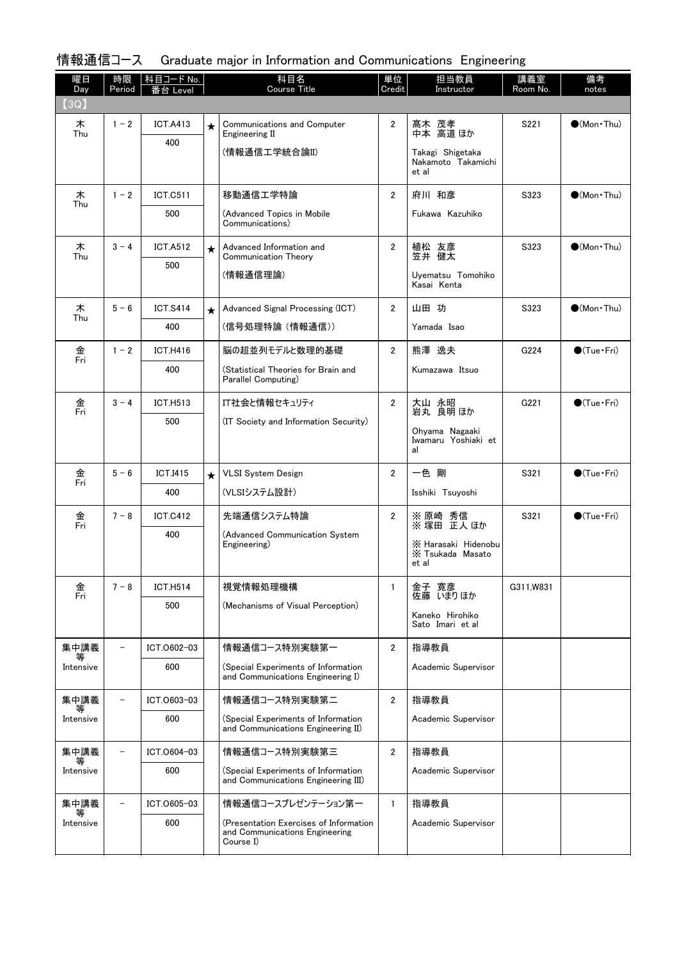| 情報通信コース Graduate major in Information and Communications Engineering |
|----------------------------------------------------------------------|
|----------------------------------------------------------------------|

| 曜日<br>Day      | 時限<br>Period | │科目コード No.<br>番台 Level |         | 科目名<br><b>Course Title</b>                                                            | 単位<br>Credit   | 担当教員<br>Instructor          | 講義室<br>Room No.  | 備考<br>notes            |
|----------------|--------------|------------------------|---------|---------------------------------------------------------------------------------------|----------------|-----------------------------|------------------|------------------------|
| (3Q)           |              |                        |         |                                                                                       |                |                             |                  |                        |
| 木<br>Thu       | $1 - 2$      | <b>ICT.A413</b>        | $\star$ | Communications and Computer                                                           | $\mathbf{2}$   | 髙木 茂孝<br>中本 高道ほか            | S221             | $\bigcirc$ (Mon · Thu) |
|                |              | 400                    |         | Engineering II<br>(情報通信工学統合論II)                                                       |                | Takagi Shigetaka            |                  |                        |
|                |              |                        |         |                                                                                       |                | Nakamoto Takamichi<br>et al |                  |                        |
| 木              | $1 - 2$      | <b>ICT.C511</b>        |         | 移動通信工学特論                                                                              | $\overline{2}$ | 府川 和彦                       | S323             | $(Mon\cdot Thu)$       |
| Thu            |              | 500                    |         | (Advanced Topics in Mobile                                                            |                | Fukawa Kazuhiko             |                  |                        |
|                |              |                        |         | Communications)                                                                       |                |                             |                  |                        |
| 木<br>Thu       | $3 - 4$      | <b>ICT.A512</b>        | $\star$ | Advanced Information and<br>Communication Theory                                      | $\overline{2}$ | 植松 友彦<br>笠井 健太              | S323             | $\bigcirc$ (Mon · Thu) |
|                |              | 500                    |         | (情報通信理論)                                                                              |                | Uyematsu Tomohiko           |                  |                        |
|                |              |                        |         |                                                                                       |                | Kasai Kenta                 |                  |                        |
| 木<br>Thu       | $5 - 6$      | <b>ICT.S414</b>        | $\star$ | Advanced Signal Processing (ICT)                                                      | $\overline{2}$ | 山田 功                        | S323             | $\bullet$ (Mon•Thu)    |
|                |              | 400                    |         | (信号処理特論(情報通信))                                                                        |                | Yamada Isao                 |                  |                        |
| 金<br>Fri       | $1 - 2$      | <b>ICT.H416</b>        |         | 脳の超並列モデルと数理的基礎                                                                        | $\overline{2}$ | 熊澤 逸夫                       | G224             | $\bigcirc$ (Tue · Fri) |
|                |              | 400                    |         | (Statistical Theories for Brain and<br>Parallel Computing)                            |                | Kumazawa Itsuo              |                  |                        |
| 金<br>Fri       | $3 - 4$      | <b>ICT.H513</b>        |         | IT社会と情報セキュリティ                                                                         | $\overline{2}$ | 大山 永昭                       | G <sub>221</sub> | $\bigcirc$ (Tue·Fri)   |
|                |              | 500                    |         | (IT Society and Information Security)                                                 |                | 岩丸 良明 ほか<br>Ohyama Nagaaki  |                  |                        |
|                |              |                        |         |                                                                                       |                | Iwamaru Yoshiaki et<br>al   |                  |                        |
| 金<br>Fri       | $5 - 6$      | <b>ICT.I415</b>        | $\star$ | <b>VLSI System Design</b>                                                             | $\overline{2}$ | 一色 剛                        | S321             | $\bigcirc$ (Tue · Fri) |
|                |              | 400                    |         | (VLSIシステム設計)                                                                          |                | Isshiki Tsuyoshi            |                  |                        |
| 金<br>Fri       | $7 - 8$      | <b>ICT.C412</b>        |         | 先端通信システム特論                                                                            | $\overline{2}$ | ※ 原崎 秀信<br>※ 塚田 正人ほか        | S321             | $\bigcirc$ (Tue·Fri)   |
|                |              | 400                    |         | (Advanced Communication System<br>Engineering)                                        |                | X Harasaki Hidenobu         |                  |                        |
|                |              |                        |         |                                                                                       |                | X Tsukada Masato<br>et al   |                  |                        |
| 金<br>Fri       | $7 - 8$      | <b>ICT.H514</b>        |         | 視覚情報処理機構                                                                              | $\mathbf{1}$   | 金子 寛彦<br>いまり ほか<br>佐藤       | G311, W831       |                        |
|                |              | 500                    |         | (Mechanisms of Visual Perception)                                                     |                | Kaneko Hirohiko             |                  |                        |
|                |              |                        |         |                                                                                       |                | Sato Imari et al            |                  |                        |
| 集中講義           |              | ICT.0602-03            |         | 情報通信コース特別実験第一                                                                         | $\mathbf{2}$   | 指導教員                        |                  |                        |
| Intensive      |              | 600                    |         | (Special Experiments of Information<br>and Communications Engineering I)              |                | Academic Supervisor         |                  |                        |
| 集中講義<br>等      |              | ICT.0603-03            |         | 情報通信コース特別実験第二                                                                         | $\overline{2}$ | 指導教員                        |                  |                        |
| Intensive      |              | 600                    |         | (Special Experiments of Information<br>and Communications Engineering II)             |                | Academic Supervisor         |                  |                        |
| 集中講義           |              | ICT.0604-03            |         | 情報通信コース特別実験第三                                                                         | $\mathbf{2}$   | 指導教員                        |                  |                        |
| Intensive      |              | 600                    |         | (Special Experiments of Information<br>and Communications Engineering III)            |                | Academic Supervisor         |                  |                        |
| 集中講義           | -            | ICT.0605-03            |         | 情報通信コースプレゼンテーション第一                                                                    | $\mathbf{1}$   | 指導教員                        |                  |                        |
| 等<br>Intensive |              | 600                    |         | (Presentation Exercises of Information<br>and Communications Engineering<br>Course I) |                | Academic Supervisor         |                  |                        |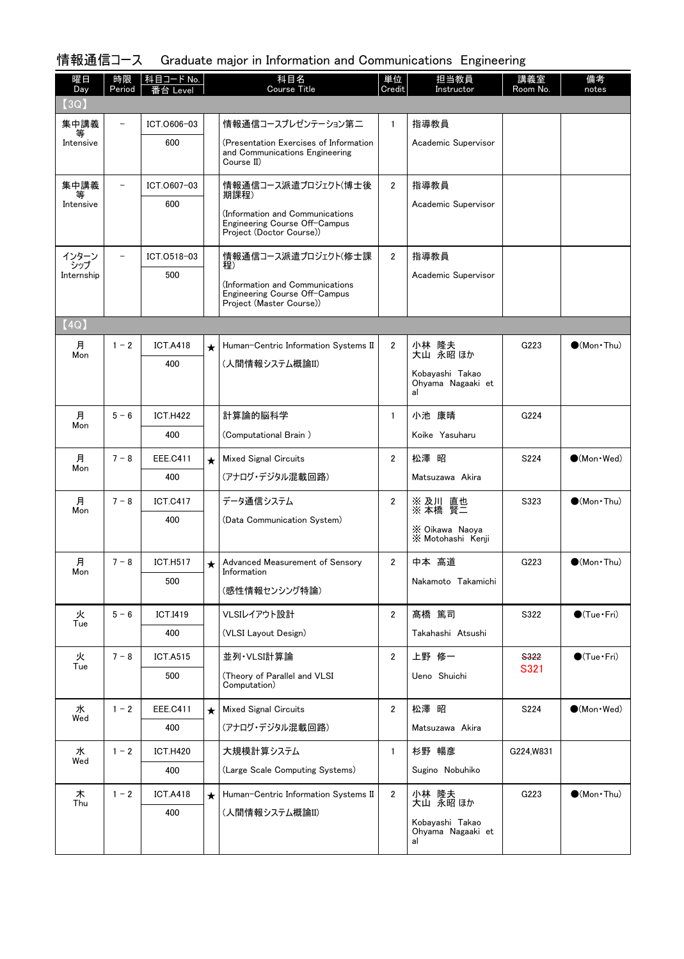| 情報通信コース Graduate major in Information and Communications Engineering |
|----------------------------------------------------------------------|
|----------------------------------------------------------------------|

| 曜日<br>Day      | 時限<br>Period             | 科目コード No.<br>番台 Level |         | 科目名<br>Course Title                                                                          | 単位<br>Credit   | 担当教員<br>Instructor                         | 講義室<br>Room No.  | 備考<br>notes                 |
|----------------|--------------------------|-----------------------|---------|----------------------------------------------------------------------------------------------|----------------|--------------------------------------------|------------------|-----------------------------|
| (3Q)           |                          |                       |         |                                                                                              |                |                                            |                  |                             |
| 集中講義<br>等      | $\overline{\phantom{0}}$ | ICT.0606-03           |         | 情報通信コースプレゼンテーション第二                                                                           | $\mathbf{1}$   | 指導教員                                       |                  |                             |
| Intensive      |                          | 600                   |         | (Presentation Exercises of Information<br>and Communications Engineering<br>Course II)       |                | Academic Supervisor                        |                  |                             |
| 集中講義           | $\overline{\phantom{0}}$ | ICT.0607-03           |         | 情報通信コース派遣プロジェクト(博士後<br>期課程)                                                                  | $\mathbf{2}$   | 指導教員                                       |                  |                             |
| 等<br>Intensive |                          | 600                   |         | (Information and Communications<br>Engineering Course Off-Campus<br>Project (Doctor Course)) |                | Academic Supervisor                        |                  |                             |
| インターン<br>シップ   |                          | ICT.0518-03           |         | 情報通信コース派遣プロジェクト(修士課<br>程)                                                                    | $\mathbf{2}$   | 指導教員                                       |                  |                             |
| Internship     |                          | 500                   |         | (Information and Communications<br>Engineering Course Off-Campus<br>Project (Master Course)) |                | Academic Supervisor                        |                  |                             |
| (4Q)           |                          |                       |         |                                                                                              |                |                                            |                  |                             |
| 月<br>Mon       | $1 - 2$                  | <b>ICT.A418</b>       | $\star$ | Human-Centric Information Systems II                                                         | $\mathbf{2}$   | 小林 隆夫<br>大山 永昭 ほか                          | G <sub>223</sub> | $\bigcirc$ (Mon · Thu)      |
|                |                          | 400                   |         | (人間情報システム概論II)                                                                               |                | Kobavashi Takao                            |                  |                             |
|                |                          |                       |         |                                                                                              |                | Ohyama Nagaaki et<br>al                    |                  |                             |
| 月<br>Mon       | $5 - 6$                  | <b>ICT.H422</b>       |         | 計算論的脳科学                                                                                      | $\mathbf{1}$   | 小池 康晴                                      | G224             |                             |
|                |                          | 400                   |         | (Computational Brain)                                                                        |                | Koike Yasuharu                             |                  |                             |
| 月<br>Mon       | $7 - 8$                  | <b>EEE.C411</b>       | $\star$ | <b>Mixed Signal Circuits</b>                                                                 | 2              | 松澤 昭                                       | S224             | $\bullet$ (Mon • Wed)       |
|                |                          | 400                   |         | (アナログ・デジタル混載回路)                                                                              |                | Matsuzawa Akira                            |                  |                             |
| 月<br>Mon       | $7 - 8$                  | <b>ICT.C417</b>       |         | データ通信システム                                                                                    | $\mathbf{2}$   | ※ 及川 直也<br>※ 本橋 賢二                         | S323             | $\bigcirc$ (Mon · Thu)      |
|                |                          | 400                   |         | (Data Communication System)                                                                  |                | X Oikawa Naoya                             |                  |                             |
|                |                          |                       |         |                                                                                              |                | X Motohashi Kenji                          |                  |                             |
| 月<br>Mon       | $7 - 8$                  | <b>ICT.H517</b>       | $\star$ | Advanced Measurement of Sensory<br>Information                                               | $\mathbf{2}$   | 中本 高道                                      | G223             | $\bullet$ (Mon $\cdot$ Thu) |
|                |                          | 500                   |         | (感性情報センシング特論)                                                                                |                | Nakamoto Takamichi                         |                  |                             |
| 火              | $5 - 6$                  | <b>ICT.I419</b>       |         | VLSIレイアウト設計                                                                                  | $\overline{2}$ | 髙橋 篤司                                      | S322             | $\bigcirc$ (Tue·Fri)        |
| Tue            |                          | 400                   |         | (VLSI Layout Design)                                                                         |                | Takahashi Atsushi                          |                  |                             |
| 火<br>Tue       | $7 - 8$                  | <b>ICT.A515</b>       |         | 並列·VLSI計算論                                                                                   | $\overline{2}$ | 上野 修一                                      | S322             | $\bigcirc$ (Tue·Fri)        |
|                |                          | 500                   |         | (Theory of Parallel and VLSI<br>Computation)                                                 |                | Ueno Shuichi                               | S321             |                             |
| 水<br>Wed       | $1 - 2$                  | <b>EEE.C411</b>       | $\star$ | <b>Mixed Signal Circuits</b>                                                                 | $\overline{2}$ | 松澤 昭                                       | S224             | $\bullet$ (Mon $\cdot$ Wed) |
|                |                          | 400                   |         | (アナログ・デジタル混載回路)                                                                              |                | Matsuzawa Akira                            |                  |                             |
| 水<br>Wed       | $1 - 2$                  | <b>ICT.H420</b>       |         | 大規模計算システム                                                                                    | $\mathbf{1}$   | 杉野 暢彦                                      | G224, W831       |                             |
|                |                          | 400                   |         | (Large Scale Computing Systems)                                                              |                | Sugino Nobuhiko                            |                  |                             |
| 木<br>Thu       | $1 - 2$                  | <b>ICT.A418</b>       | $\star$ | Human-Centric Information Systems II                                                         | $\mathbf{2}$   | 小林 隆夫<br>大山 永昭 ほか                          | G223             | $\bigcirc$ (Mon · Thu)      |
|                |                          | 400                   |         | (人間情報システム概論II)                                                                               |                | Kobayashi Takao<br>Ohyama Nagaaki et<br>al |                  |                             |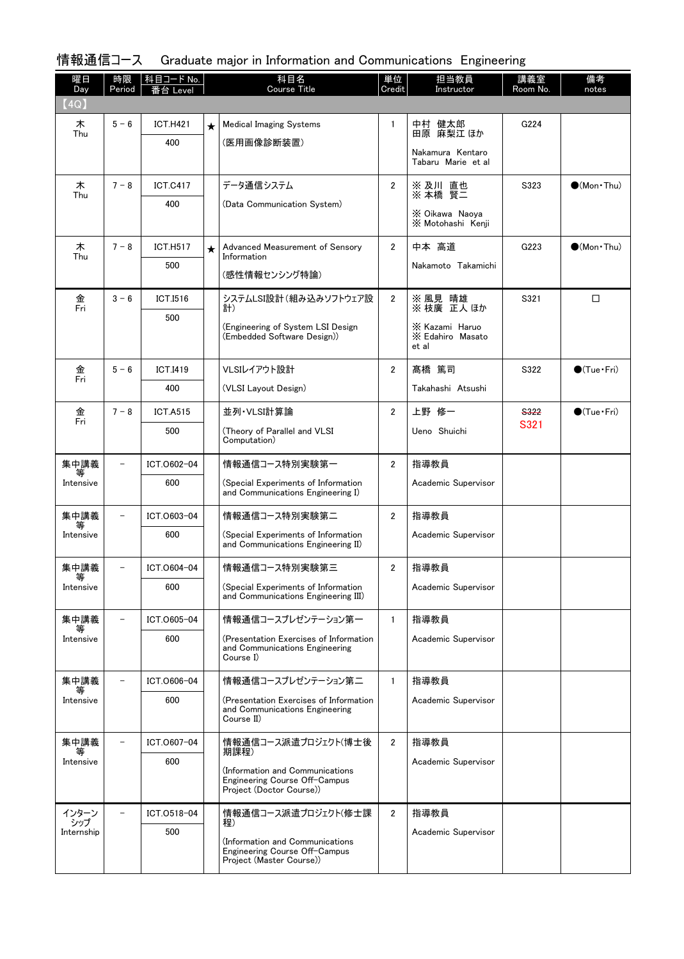# 情報通信コース Graduate major in Information and Communications Engineering

| 曜日<br>Day         | 時限<br>Period             | 科目コード No.<br>番台 Level |         | 科目名<br><b>Course Title</b>                                                                        | 単位<br>Credit   | 担当教員<br>Instructor                 | 講義室<br>Room No. | 備考<br>notes            |
|-------------------|--------------------------|-----------------------|---------|---------------------------------------------------------------------------------------------------|----------------|------------------------------------|-----------------|------------------------|
| (4Q)              |                          |                       |         |                                                                                                   |                |                                    |                 |                        |
| 木<br>Thu          | $5 - 6$                  | <b>ICT.H421</b>       | $\star$ | <b>Medical Imaging Systems</b>                                                                    | $\mathbf{1}$   | 中村 健太郎<br>麻梨江 ほか<br>田原             | G224            |                        |
|                   |                          | 400                   |         | (医用画像診断装置)                                                                                        |                | Nakamura Kentaro                   |                 |                        |
|                   |                          |                       |         |                                                                                                   |                | Tabaru Marie et al                 |                 |                        |
| 木<br>Thu          | $7 - 8$                  | <b>ICT.C417</b>       |         | データ通信システム                                                                                         | $\overline{2}$ | ※ 及川 直也<br>※ 本橋 賢二                 | S323            | $\bigcirc$ (Mon · Thu) |
|                   |                          | 400                   |         | (Data Communication System)                                                                       |                | X Oikawa Naoya                     |                 |                        |
|                   |                          |                       |         |                                                                                                   |                | X Motohashi Kenji                  |                 |                        |
| 木<br>Thu          | $7 - 8$                  | <b>ICT.H517</b>       | $\star$ | Advanced Measurement of Sensory                                                                   | $\overline{2}$ | 中本 高道                              | G223            | $\bigcirc$ (Mon · Thu) |
|                   |                          | 500                   |         | Information<br>(感性情報センシング特論)                                                                      |                | Nakamoto Takamichi                 |                 |                        |
|                   |                          |                       |         |                                                                                                   |                |                                    |                 |                        |
| 金<br>Fri          | $3 - 6$                  | ICT.I516              |         | システムLSI設計(組み込みソフトウェア設<br>計)                                                                       | $\overline{2}$ | ※ 風見 晴雄<br>※ 枝廣 正人 ほか              | S321            | $\Box$                 |
|                   |                          | 500                   |         | (Engineering of System LSI Design<br>(Embedded Software Design))                                  |                | X Kazami Haruo<br>X Edahiro Masato |                 |                        |
|                   |                          |                       |         |                                                                                                   |                | et al                              |                 |                        |
| 金<br>Fri          | $5 - 6$                  | <b>ICT.I419</b>       |         | VLSIレイアウト設計                                                                                       | $\overline{2}$ | 髙橋 篤司                              | S322            | $\bigcirc$ (Tue·Fri)   |
|                   |                          | 400                   |         | (VLSI Layout Design)                                                                              |                | Takahashi Atsushi                  |                 |                        |
| 金                 | $7 - 8$                  | <b>ICT.A515</b>       |         | 並列·VLSI計算論                                                                                        | $\overline{2}$ | 上野 修一                              | S322            | $\bigcirc$ (Tue · Fri) |
| Fri               |                          | 500                   |         | (Theory of Parallel and VLSI<br>Computation)                                                      |                | Ueno Shuichi                       | S321            |                        |
| 集中講義              |                          | ICT.0602-04           |         | 情報通信コース特別実験第一                                                                                     | $\overline{2}$ | 指導教員                               |                 |                        |
| Intensive         |                          | 600                   |         | (Special Experiments of Information<br>and Communications Engineering I)                          |                | Academic Supervisor                |                 |                        |
| 集中講義              | $\overline{\phantom{0}}$ | ICT.0603-04           |         | 情報通信コース特別実験第二                                                                                     | $\overline{2}$ | 指導教員                               |                 |                        |
| 等<br>Intensive    |                          | 600                   |         | (Special Experiments of Information<br>and Communications Engineering II)                         |                | Academic Supervisor                |                 |                        |
|                   |                          |                       |         |                                                                                                   |                |                                    |                 |                        |
| 集中講義              |                          | ICT.0604-04           |         | 情報通信コース特別実験第三                                                                                     | $\overline{2}$ | 指導教員                               |                 |                        |
| Intensive         |                          | 600                   |         | (Special Experiments of Information<br>and Communications Engineering III)                        |                | Academic Supervisor                |                 |                        |
| 集中講義              |                          | ICT.0605-04           |         | 情報通信コースプレゼンテーション第一                                                                                | $\mathbf{1}$   | 指導教員                               |                 |                        |
| Intensive         |                          | 600                   |         | (Presentation Exercises of Information<br>and Communications Engineering<br>Course I)             |                | Academic Supervisor                |                 |                        |
| 集中講義              |                          | ICT.0606-04           |         | 情報通信コースプレゼンテーション第二                                                                                | $\mathbf{1}$   | 指導教員                               |                 |                        |
| Intensive         |                          | 600                   |         | (Presentation Exercises of Information<br>and Communications Engineering<br>Course II)            |                | Academic Supervisor                |                 |                        |
| 集中講義              |                          | ICT.0607-04           |         | 情報通信コース派遣プロジェクト(博士後                                                                               | $\mathbf{2}$   | 指導教員                               |                 |                        |
| 等<br>Intensive    |                          | 600                   |         | 期課程)                                                                                              |                | Academic Supervisor                |                 |                        |
|                   |                          |                       |         | Information and Communications<br>Engineering Course Off-Campus<br>Project (Doctor Course))       |                |                                    |                 |                        |
| インターン             |                          | ICT.0518-04           |         | 情報通信コース派遣プロジェクト(修士課                                                                               | $\overline{2}$ | 指導教員                               |                 |                        |
| シップ<br>Internship |                          | 500                   |         | 程)<br>Information and Communications<br>Engineering Course Off-Campus<br>Project (Master Course)) |                | Academic Supervisor                |                 |                        |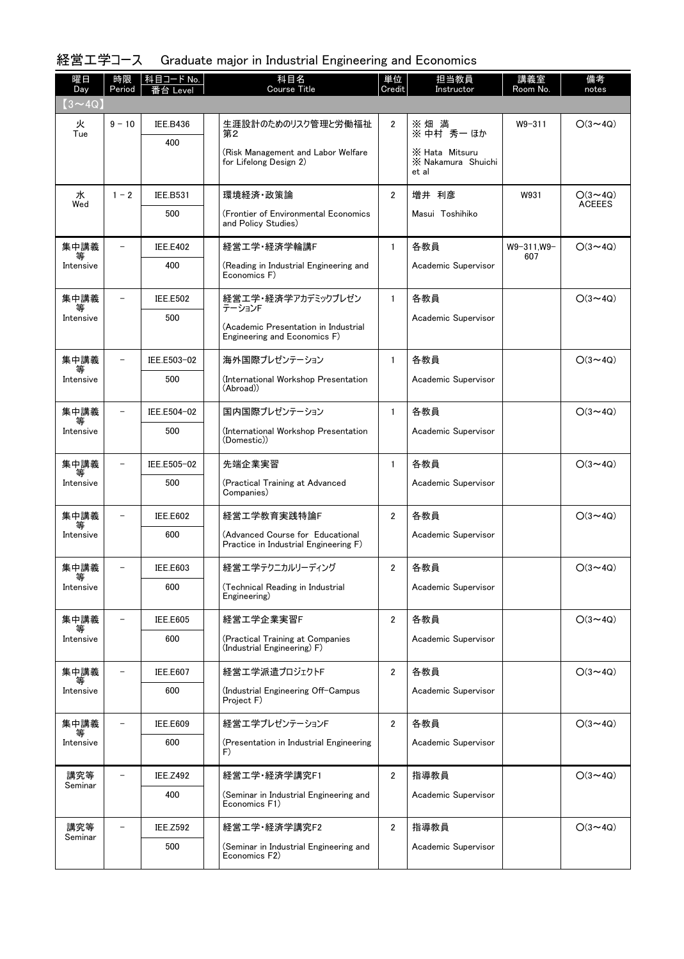# 経営工学コース Graduate major in Industrial Engineering and Economics

| 曜日<br>Day      | 時限<br>Period             | 科目コード No.<br>∶台 Level | 科目名<br><b>Course Title</b>                                                | 単位<br>Credit            | 担当教員<br>Instructor                                    | 講義室<br>Room No.   | 備考<br>notes    |
|----------------|--------------------------|-----------------------|---------------------------------------------------------------------------|-------------------------|-------------------------------------------------------|-------------------|----------------|
| $(3 \sim 4Q)$  |                          |                       |                                                                           |                         |                                                       |                   |                |
| 火<br>Tue       | $9 - 10$                 | <b>IEE.B436</b>       | 生涯設計のためのリスク管理と労働福祉<br>第2                                                  | $\overline{2}$          | ※ 畑 満<br>※ 中村 秀一 ほか                                   | W9-311            | $O(3 \sim 4Q)$ |
|                |                          | 400                   | (Risk Management and Labor Welfare<br>for Lifelong Design 2)              |                         | X Hata Mitsuru<br><b>XX Nakamura Shuichi</b><br>et al |                   |                |
| 水              | $1 - 2$                  | <b>IEE.B531</b>       | 環境経済 政策論                                                                  | $\overline{2}$          | 増井 利彦                                                 | W931              | $O(3 \sim 4Q)$ |
| Wed            |                          | 500                   | (Frontier of Environmental Economics<br>and Policy Studies)               |                         | Masui Toshihiko                                       |                   | <b>ACEEES</b>  |
| 集中講義           |                          | <b>IEE.E402</b>       | 経営工学·経済学輪講F                                                               | $\mathbf{1}$            | 各教員                                                   | W9-311.W9-<br>607 | $O(3 \sim 4Q)$ |
| Intensive      |                          | 400                   | (Reading in Industrial Engineering and<br>Economics F)                    |                         | Academic Supervisor                                   |                   |                |
| 集中講義<br>等      | $\overline{\phantom{0}}$ | <b>IEE.E502</b>       | 経営工学・経済学アカデミックプレゼン<br>テーションF                                              | $\mathbf{1}$            | 各教員                                                   |                   | $O(3 \sim 4Q)$ |
| Intensive      |                          | 500                   | (Academic Presentation in Industrial<br>Engineering and Economics F)      |                         | Academic Supervisor                                   |                   |                |
| 集中講義           | $\overline{\phantom{0}}$ | IEE.E503-02           | 海外国際プレゼンテーション                                                             | $\mathbf{1}$            | 各教員                                                   |                   | $O(3 \sim 4Q)$ |
| 等<br>Intensive |                          | 500                   | (International Workshop Presentation<br>(Abroad))                         |                         | Academic Supervisor                                   |                   |                |
| 集中講義           | $\overline{\phantom{0}}$ | IEE.E504-02           | 国内国際プレゼンテーション                                                             | $\mathbf{1}$            | 各教員                                                   |                   | $O(3 \sim 4Q)$ |
| Intensive      |                          | 500                   | (International Workshop Presentation<br>(Domestic))                       |                         | Academic Supervisor                                   |                   |                |
| 集中講義<br>等      | $\overline{\phantom{a}}$ | IEE.E505-02           | 先端企業実習                                                                    | $\mathbf{1}$            | 各教員                                                   |                   | $O(3 \sim 4Q)$ |
| Intensive      |                          | 500                   | (Practical Training at Advanced<br>Companies)                             |                         | Academic Supervisor                                   |                   |                |
| 集中講義           |                          | <b>IEE.E602</b>       | 経営工学教育実践特論F                                                               | $\overline{2}$          | 各教員                                                   |                   | $O(3 \sim 4Q)$ |
| Intensive      |                          | 600                   | (Advanced Course for Educational<br>Practice in Industrial Engineering F) |                         | Academic Supervisor                                   |                   |                |
| 集中講義           |                          | IEE.E603              | 経営工学テクニカルリーディング                                                           | $\overline{2}$          | 各教員                                                   |                   | $O(3 \sim 4Q)$ |
| Intensive      |                          | 600                   | (Technical Reading in Industrial<br>Engineering)                          |                         | Academic Supervisor                                   |                   |                |
| 集中講義<br>等      |                          | <b>IEE.E605</b>       | 経営工学企業実習F                                                                 | $\overline{2}$          | 各教員                                                   |                   | $O(3 \sim 4Q)$ |
| Intensive      |                          | 600                   | (Practical Training at Companies<br>(Industrial Engineering) F)           |                         | Academic Supervisor                                   |                   |                |
| 集中講義           |                          | <b>IEE.E607</b>       | 経営工学派遣プロジェクトF                                                             | $\overline{2}$          | 各教員                                                   |                   | $O(3 \sim 4Q)$ |
| Intensive      |                          | 600                   | (Industrial Engineering Off-Campus<br>Project F)                          |                         | Academic Supervisor                                   |                   |                |
| 集中講義<br>等      | $\overline{\phantom{0}}$ | <b>IEE.E609</b>       | 経営エ学プレゼンテーションF                                                            | $\overline{2}$          | 各教員                                                   |                   | $O(3 \sim 4Q)$ |
| Intensive      |                          | 600                   | (Presentation in Industrial Engineering<br>F)                             |                         | Academic Supervisor                                   |                   |                |
| 講究等<br>Seminar |                          | <b>IEE.Z492</b>       | 経営工学·経済学講究F1                                                              | $\overline{\mathbf{2}}$ | 指導教員                                                  |                   | $O(3 \sim 4Q)$ |
|                |                          | 400                   | (Seminar in Industrial Engineering and<br>Economics F1)                   |                         | Academic Supervisor                                   |                   |                |
| 講究等<br>Seminar |                          | <b>IEE.Z592</b>       | 経営工学·経済学講究F2                                                              | $\overline{2}$          | 指導教員                                                  |                   | $O(3 \sim 4Q)$ |
|                |                          | 500                   | (Seminar in Industrial Engineering and<br>Economics F2)                   |                         | Academic Supervisor                                   |                   |                |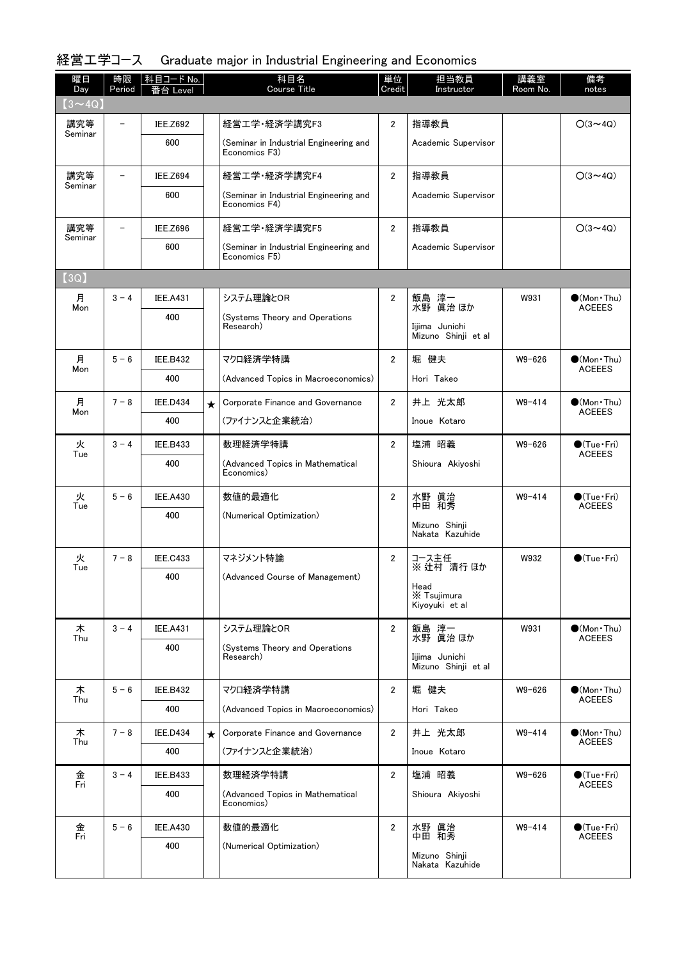# 経営工学コース Graduate major in Industrial Engineering and Economics

| 曜日<br>Day      | 時限<br>Period             | │科目コード No.<br>番台 Level |         | 科目名<br><b>Course Title</b>                              | 単位<br>Credit   | 担当教員<br>Instructor                    | 講義室<br>Room No. | 備考<br>notes                                   |
|----------------|--------------------------|------------------------|---------|---------------------------------------------------------|----------------|---------------------------------------|-----------------|-----------------------------------------------|
| $(3 \sim 4Q)$  |                          |                        |         |                                                         |                |                                       |                 |                                               |
| 講究等<br>Seminar |                          | <b>IEE.Z692</b>        |         | 経営工学·経済学講究F3                                            | $\overline{2}$ | 指導教員                                  |                 | $O(3 \sim 4Q)$                                |
|                |                          | 600                    |         | (Seminar in Industrial Engineering and<br>Economics F3) |                | Academic Supervisor                   |                 |                                               |
| 講究等<br>Seminar | $\overline{\phantom{0}}$ | <b>IEE.Z694</b>        |         | 経営工学·経済学講究F4                                            | $\overline{2}$ | 指導教員                                  |                 | $O(3 \sim 4Q)$                                |
|                |                          | 600                    |         | (Seminar in Industrial Engineering and<br>Economics F4) |                | Academic Supervisor                   |                 |                                               |
| 講究等<br>Seminar |                          | <b>IEE.Z696</b>        |         | 経営工学·経済学講究F5                                            | $\overline{2}$ | 指導教員                                  |                 | $O(3 \sim 4Q)$                                |
|                |                          | 600                    |         | (Seminar in Industrial Engineering and<br>Economics F5) |                | Academic Supervisor                   |                 |                                               |
| (3Q)           |                          |                        |         |                                                         |                |                                       |                 |                                               |
| 月<br>Mon       | $3 - 4$                  | <b>IEE.A431</b>        |         | システム理論とOR                                               | $\overline{2}$ | 飯島 淳一<br>水野 眞治 ほか                     | W931            | $\bullet$ (Mon•Thu)<br><b>ACEEES</b>          |
|                |                          | 400                    |         | (Systems Theory and Operations<br>Research)             |                | Iijima Junichi<br>Mizuno Shinji et al |                 |                                               |
| 月              | $5 - 6$                  | <b>IEE.B432</b>        |         | マクロ経済学特講                                                | $\overline{2}$ | 堀 健夫                                  | $W9 - 626$      | $\bullet$ (Mon•Thu)                           |
| Mon            |                          | 400                    |         | (Advanced Topics in Macroeconomics)                     |                | Hori Takeo                            |                 | <b>ACEEES</b>                                 |
| 月              | $7 - 8$                  | <b>IEE.D434</b>        | $\star$ | Corporate Finance and Governance                        | $\overline{2}$ | 井上 光太郎                                | $W9 - 414$      | $\bullet$ (Mon•Thu)                           |
| Mon            |                          | 400                    |         | (ファイナンスと企業統治)                                           |                | Inoue Kotaro                          |                 | <b>ACEEES</b>                                 |
| 火<br>Tue       | $3 - 4$                  | <b>IEE.B433</b>        |         | 数理経済学特講                                                 | $\overline{2}$ | 塩浦 昭義                                 | W9-626          | $\bullet$ (Tue · Fri)<br><b>ACEEES</b>        |
|                |                          | 400                    |         | (Advanced Topics in Mathematical<br>Economics)          |                | Shioura Akiyoshi                      |                 |                                               |
| 火<br>Tue       | $5 - 6$                  | <b>IEE.A430</b>        |         | 数値的最適化                                                  | $\overline{2}$ | 水野 眞治<br>中田 和秀                        | $W9 - 414$      | $\bigcirc$ (Tue $\cdot$ Fri)<br><b>ACEEES</b> |
|                |                          | 400                    |         | (Numerical Optimization)                                |                | Mizuno Shinji<br>Nakata Kazuhide      |                 |                                               |
| 火              | $7 - 8$                  | <b>IEE.C433</b>        |         | マネジメント特論                                                | $\overline{2}$ | コース主任<br>※ 辻村 清行 ほか                   | W932            | $\bigcirc$ (Tue · Fri)                        |
| Tue            |                          | 400                    |         | (Advanced Course of Management)                         |                | Head                                  |                 |                                               |
|                |                          |                        |         |                                                         |                | X Tsujimura<br>Kiyoyuki et al         |                 |                                               |
| 木<br>Thu       | $3 - 4$                  | <b>IEE.A431</b>        |         | システム理論とOR                                               | $\overline{2}$ | 飯島 淳一<br>水野 眞治 ほか                     | W931            | $\bullet$ (Mon · Thu)<br><b>ACEEES</b>        |
|                |                          | 400                    |         | (Systems Theory and Operations<br>Research)             |                | Iijima Junichi<br>Mizuno Shinji et al |                 |                                               |
| 木              | $5 - 6$                  | <b>IEE.B432</b>        |         | マクロ経済学特講                                                | $\overline{2}$ | 堀 健夫                                  | $W9 - 626$      | $\bullet$ (Mon•Thu)                           |
| Thu            |                          | 400                    |         | (Advanced Topics in Macroeconomics)                     |                | Hori Takeo                            |                 | <b>ACEEES</b>                                 |
| 木<br>Thu       | $7 - 8$                  | <b>IEE.D434</b>        | $\star$ | Corporate Finance and Governance                        | $\overline{2}$ | 井上 光太郎                                | $W9 - 414$      | $\bullet$ (Mon · Thu)                         |
|                |                          | 400                    |         | (ファイナンスと企業統治)                                           |                | Inoue Kotaro                          |                 | <b>ACEEES</b>                                 |
| 金<br>Fri       | $3 - 4$                  | <b>IEE.B433</b>        |         | 数理経済学特講                                                 | $\overline{2}$ | 塩浦 昭義                                 | $W9 - 626$      | $\bigcirc$ (Tue•Fri)<br><b>ACEEES</b>         |
|                |                          | 400                    |         | (Advanced Topics in Mathematical<br>Economics)          |                | Shioura Akiyoshi                      |                 |                                               |
| 金<br>Fri       | $5 - 6$                  | <b>IEE.A430</b>        |         | 数値的最適化                                                  | $\overline{2}$ | 水野 眞治<br>中田 和秀                        | $W9 - 414$      | $\bigcirc$ (Tue•Fri)<br><b>ACEEES</b>         |
|                |                          | 400                    |         | (Numerical Optimization)                                |                | Mizuno Shinji<br>Nakata Kazuhide      |                 |                                               |